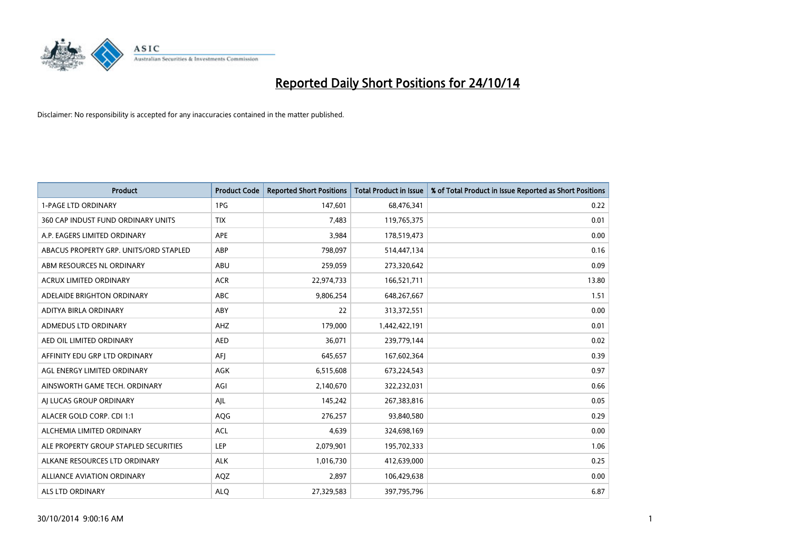

| <b>Product</b>                         | <b>Product Code</b> | <b>Reported Short Positions</b> | <b>Total Product in Issue</b> | % of Total Product in Issue Reported as Short Positions |
|----------------------------------------|---------------------|---------------------------------|-------------------------------|---------------------------------------------------------|
| <b>1-PAGE LTD ORDINARY</b>             | 1PG                 | 147,601                         | 68,476,341                    | 0.22                                                    |
| 360 CAP INDUST FUND ORDINARY UNITS     | <b>TIX</b>          | 7,483                           | 119,765,375                   | 0.01                                                    |
| A.P. EAGERS LIMITED ORDINARY           | APE                 | 3,984                           | 178,519,473                   | 0.00                                                    |
| ABACUS PROPERTY GRP. UNITS/ORD STAPLED | ABP                 | 798,097                         | 514,447,134                   | 0.16                                                    |
| ABM RESOURCES NL ORDINARY              | ABU                 | 259,059                         | 273,320,642                   | 0.09                                                    |
| <b>ACRUX LIMITED ORDINARY</b>          | <b>ACR</b>          | 22,974,733                      | 166,521,711                   | 13.80                                                   |
| ADELAIDE BRIGHTON ORDINARY             | <b>ABC</b>          | 9,806,254                       | 648,267,667                   | 1.51                                                    |
| ADITYA BIRLA ORDINARY                  | ABY                 | 22                              | 313,372,551                   | 0.00                                                    |
| ADMEDUS LTD ORDINARY                   | AHZ                 | 179,000                         | 1,442,422,191                 | 0.01                                                    |
| AED OIL LIMITED ORDINARY               | <b>AED</b>          | 36,071                          | 239,779,144                   | 0.02                                                    |
| AFFINITY EDU GRP LTD ORDINARY          | AFJ                 | 645,657                         | 167,602,364                   | 0.39                                                    |
| AGL ENERGY LIMITED ORDINARY            | AGK                 | 6,515,608                       | 673,224,543                   | 0.97                                                    |
| AINSWORTH GAME TECH. ORDINARY          | AGI                 | 2,140,670                       | 322,232,031                   | 0.66                                                    |
| AI LUCAS GROUP ORDINARY                | AJL                 | 145,242                         | 267,383,816                   | 0.05                                                    |
| ALACER GOLD CORP. CDI 1:1              | AQG                 | 276,257                         | 93,840,580                    | 0.29                                                    |
| ALCHEMIA LIMITED ORDINARY              | <b>ACL</b>          | 4,639                           | 324,698,169                   | 0.00                                                    |
| ALE PROPERTY GROUP STAPLED SECURITIES  | <b>LEP</b>          | 2,079,901                       | 195,702,333                   | 1.06                                                    |
| ALKANE RESOURCES LTD ORDINARY          | <b>ALK</b>          | 1,016,730                       | 412,639,000                   | 0.25                                                    |
| <b>ALLIANCE AVIATION ORDINARY</b>      | AQZ                 | 2,897                           | 106,429,638                   | 0.00                                                    |
| ALS LTD ORDINARY                       | <b>ALQ</b>          | 27,329,583                      | 397,795,796                   | 6.87                                                    |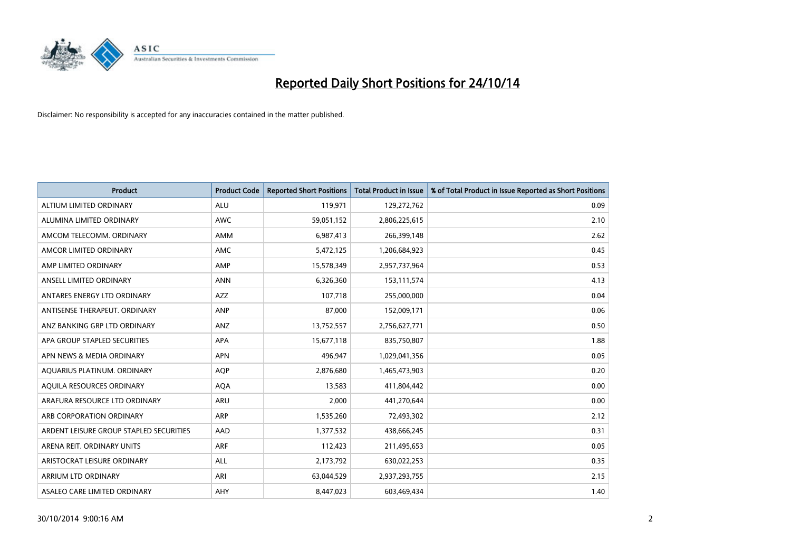

| <b>Product</b>                          | <b>Product Code</b> | <b>Reported Short Positions</b> | <b>Total Product in Issue</b> | % of Total Product in Issue Reported as Short Positions |
|-----------------------------------------|---------------------|---------------------------------|-------------------------------|---------------------------------------------------------|
| ALTIUM LIMITED ORDINARY                 | <b>ALU</b>          | 119,971                         | 129,272,762                   | 0.09                                                    |
| ALUMINA LIMITED ORDINARY                | <b>AWC</b>          | 59,051,152                      | 2,806,225,615                 | 2.10                                                    |
| AMCOM TELECOMM. ORDINARY                | AMM                 | 6,987,413                       | 266,399,148                   | 2.62                                                    |
| AMCOR LIMITED ORDINARY                  | AMC                 | 5,472,125                       | 1,206,684,923                 | 0.45                                                    |
| AMP LIMITED ORDINARY                    | AMP                 | 15,578,349                      | 2,957,737,964                 | 0.53                                                    |
| ANSELL LIMITED ORDINARY                 | <b>ANN</b>          | 6,326,360                       | 153,111,574                   | 4.13                                                    |
| ANTARES ENERGY LTD ORDINARY             | AZZ                 | 107,718                         | 255,000,000                   | 0.04                                                    |
| ANTISENSE THERAPEUT, ORDINARY           | ANP                 | 87,000                          | 152,009,171                   | 0.06                                                    |
| ANZ BANKING GRP LTD ORDINARY            | ANZ                 | 13,752,557                      | 2,756,627,771                 | 0.50                                                    |
| APA GROUP STAPLED SECURITIES            | <b>APA</b>          | 15,677,118                      | 835,750,807                   | 1.88                                                    |
| APN NEWS & MEDIA ORDINARY               | <b>APN</b>          | 496,947                         | 1,029,041,356                 | 0.05                                                    |
| AQUARIUS PLATINUM. ORDINARY             | <b>AOP</b>          | 2,876,680                       | 1,465,473,903                 | 0.20                                                    |
| AQUILA RESOURCES ORDINARY               | <b>AQA</b>          | 13,583                          | 411,804,442                   | 0.00                                                    |
| ARAFURA RESOURCE LTD ORDINARY           | ARU                 | 2,000                           | 441,270,644                   | 0.00                                                    |
| ARB CORPORATION ORDINARY                | ARP                 | 1,535,260                       | 72,493,302                    | 2.12                                                    |
| ARDENT LEISURE GROUP STAPLED SECURITIES | AAD                 | 1,377,532                       | 438,666,245                   | 0.31                                                    |
| ARENA REIT. ORDINARY UNITS              | <b>ARF</b>          | 112,423                         | 211,495,653                   | 0.05                                                    |
| ARISTOCRAT LEISURE ORDINARY             | ALL                 | 2,173,792                       | 630,022,253                   | 0.35                                                    |
| ARRIUM LTD ORDINARY                     | ARI                 | 63,044,529                      | 2,937,293,755                 | 2.15                                                    |
| ASALEO CARE LIMITED ORDINARY            | AHY                 | 8,447,023                       | 603,469,434                   | 1.40                                                    |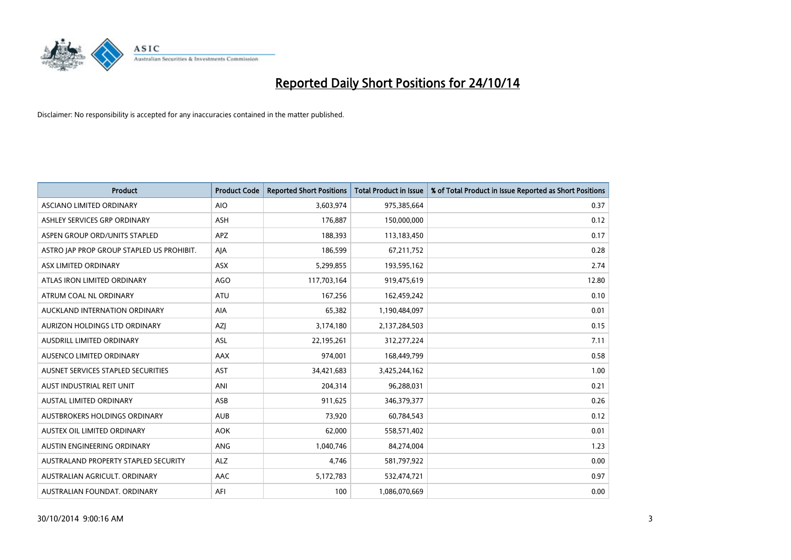

| <b>Product</b>                            | <b>Product Code</b> | <b>Reported Short Positions</b> | <b>Total Product in Issue</b> | % of Total Product in Issue Reported as Short Positions |
|-------------------------------------------|---------------------|---------------------------------|-------------------------------|---------------------------------------------------------|
| ASCIANO LIMITED ORDINARY                  | <b>AIO</b>          | 3,603,974                       | 975,385,664                   | 0.37                                                    |
| ASHLEY SERVICES GRP ORDINARY              | ASH                 | 176,887                         | 150,000,000                   | 0.12                                                    |
| ASPEN GROUP ORD/UNITS STAPLED             | <b>APZ</b>          | 188,393                         | 113,183,450                   | 0.17                                                    |
| ASTRO JAP PROP GROUP STAPLED US PROHIBIT. | AJA                 | 186,599                         | 67,211,752                    | 0.28                                                    |
| ASX LIMITED ORDINARY                      | ASX                 | 5,299,855                       | 193,595,162                   | 2.74                                                    |
| ATLAS IRON LIMITED ORDINARY               | <b>AGO</b>          | 117,703,164                     | 919,475,619                   | 12.80                                                   |
| ATRUM COAL NL ORDINARY                    | ATU                 | 167,256                         | 162,459,242                   | 0.10                                                    |
| AUCKLAND INTERNATION ORDINARY             | AIA                 | 65,382                          | 1,190,484,097                 | 0.01                                                    |
| AURIZON HOLDINGS LTD ORDINARY             | AZJ                 | 3,174,180                       | 2,137,284,503                 | 0.15                                                    |
| AUSDRILL LIMITED ORDINARY                 | <b>ASL</b>          | 22,195,261                      | 312,277,224                   | 7.11                                                    |
| AUSENCO LIMITED ORDINARY                  | AAX                 | 974,001                         | 168,449,799                   | 0.58                                                    |
| AUSNET SERVICES STAPLED SECURITIES        | <b>AST</b>          | 34,421,683                      | 3,425,244,162                 | 1.00                                                    |
| AUST INDUSTRIAL REIT UNIT                 | ANI                 | 204,314                         | 96,288,031                    | 0.21                                                    |
| <b>AUSTAL LIMITED ORDINARY</b>            | ASB                 | 911,625                         | 346,379,377                   | 0.26                                                    |
| AUSTBROKERS HOLDINGS ORDINARY             | <b>AUB</b>          | 73,920                          | 60,784,543                    | 0.12                                                    |
| AUSTEX OIL LIMITED ORDINARY               | <b>AOK</b>          | 62,000                          | 558,571,402                   | 0.01                                                    |
| AUSTIN ENGINEERING ORDINARY               | ANG                 | 1,040,746                       | 84,274,004                    | 1.23                                                    |
| AUSTRALAND PROPERTY STAPLED SECURITY      | <b>ALZ</b>          | 4,746                           | 581,797,922                   | 0.00                                                    |
| AUSTRALIAN AGRICULT, ORDINARY             | AAC                 | 5,172,783                       | 532,474,721                   | 0.97                                                    |
| AUSTRALIAN FOUNDAT. ORDINARY              | AFI                 | 100                             | 1,086,070,669                 | 0.00                                                    |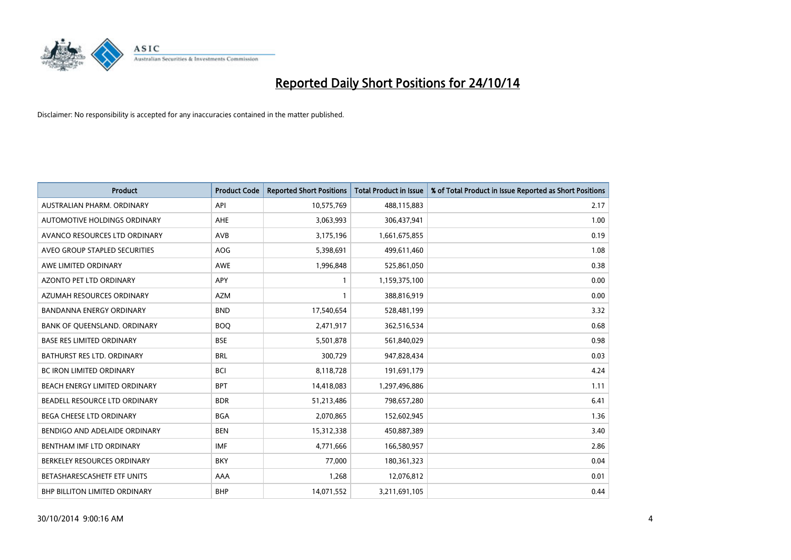

| <b>Product</b>                   | <b>Product Code</b> | <b>Reported Short Positions</b> | <b>Total Product in Issue</b> | % of Total Product in Issue Reported as Short Positions |
|----------------------------------|---------------------|---------------------------------|-------------------------------|---------------------------------------------------------|
| AUSTRALIAN PHARM, ORDINARY       | API                 | 10,575,769                      | 488,115,883                   | 2.17                                                    |
| AUTOMOTIVE HOLDINGS ORDINARY     | AHE                 | 3,063,993                       | 306,437,941                   | 1.00                                                    |
| AVANCO RESOURCES LTD ORDINARY    | AVB                 | 3,175,196                       | 1,661,675,855                 | 0.19                                                    |
| AVEO GROUP STAPLED SECURITIES    | AOG                 | 5,398,691                       | 499,611,460                   | 1.08                                                    |
| AWE LIMITED ORDINARY             | <b>AWE</b>          | 1,996,848                       | 525,861,050                   | 0.38                                                    |
| <b>AZONTO PET LTD ORDINARY</b>   | <b>APY</b>          | 1                               | 1,159,375,100                 | 0.00                                                    |
| AZUMAH RESOURCES ORDINARY        | <b>AZM</b>          | $\mathbf{1}$                    | 388,816,919                   | 0.00                                                    |
| BANDANNA ENERGY ORDINARY         | <b>BND</b>          | 17,540,654                      | 528,481,199                   | 3.32                                                    |
| BANK OF QUEENSLAND. ORDINARY     | <b>BOQ</b>          | 2,471,917                       | 362,516,534                   | 0.68                                                    |
| <b>BASE RES LIMITED ORDINARY</b> | <b>BSE</b>          | 5,501,878                       | 561,840,029                   | 0.98                                                    |
| BATHURST RES LTD. ORDINARY       | <b>BRL</b>          | 300,729                         | 947,828,434                   | 0.03                                                    |
| <b>BC IRON LIMITED ORDINARY</b>  | <b>BCI</b>          | 8,118,728                       | 191,691,179                   | 4.24                                                    |
| BEACH ENERGY LIMITED ORDINARY    | <b>BPT</b>          | 14,418,083                      | 1,297,496,886                 | 1.11                                                    |
| BEADELL RESOURCE LTD ORDINARY    | <b>BDR</b>          | 51,213,486                      | 798,657,280                   | 6.41                                                    |
| BEGA CHEESE LTD ORDINARY         | <b>BGA</b>          | 2,070,865                       | 152,602,945                   | 1.36                                                    |
| BENDIGO AND ADELAIDE ORDINARY    | <b>BEN</b>          | 15,312,338                      | 450,887,389                   | 3.40                                                    |
| BENTHAM IMF LTD ORDINARY         | IMF                 | 4,771,666                       | 166,580,957                   | 2.86                                                    |
| BERKELEY RESOURCES ORDINARY      | <b>BKY</b>          | 77,000                          | 180,361,323                   | 0.04                                                    |
| BETASHARESCASHETF ETF UNITS      | AAA                 | 1,268                           | 12,076,812                    | 0.01                                                    |
| BHP BILLITON LIMITED ORDINARY    | <b>BHP</b>          | 14,071,552                      | 3,211,691,105                 | 0.44                                                    |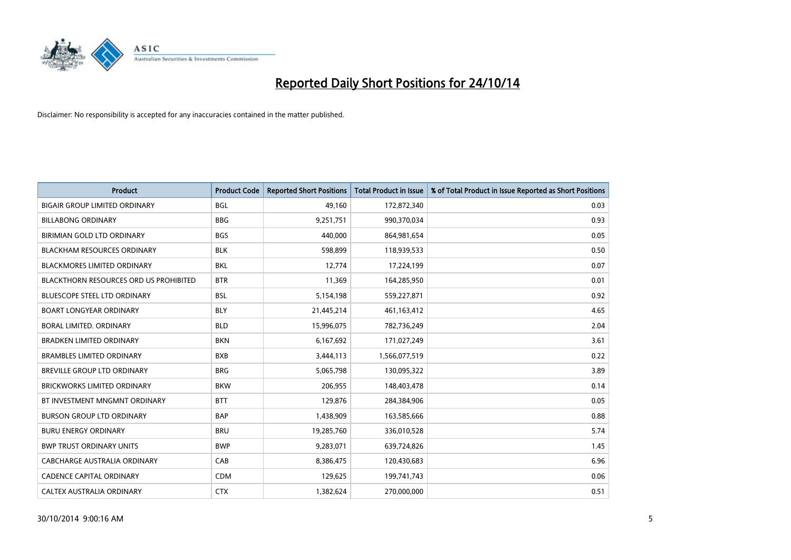

| <b>Product</b>                                | <b>Product Code</b> | <b>Reported Short Positions</b> | <b>Total Product in Issue</b> | % of Total Product in Issue Reported as Short Positions |
|-----------------------------------------------|---------------------|---------------------------------|-------------------------------|---------------------------------------------------------|
| <b>BIGAIR GROUP LIMITED ORDINARY</b>          | <b>BGL</b>          | 49,160                          | 172,872,340                   | 0.03                                                    |
| <b>BILLABONG ORDINARY</b>                     | <b>BBG</b>          | 9,251,751                       | 990,370,034                   | 0.93                                                    |
| BIRIMIAN GOLD LTD ORDINARY                    | <b>BGS</b>          | 440,000                         | 864,981,654                   | 0.05                                                    |
| <b>BLACKHAM RESOURCES ORDINARY</b>            | <b>BLK</b>          | 598,899                         | 118,939,533                   | 0.50                                                    |
| <b>BLACKMORES LIMITED ORDINARY</b>            | <b>BKL</b>          | 12,774                          | 17,224,199                    | 0.07                                                    |
| <b>BLACKTHORN RESOURCES ORD US PROHIBITED</b> | <b>BTR</b>          | 11,369                          | 164,285,950                   | 0.01                                                    |
| <b>BLUESCOPE STEEL LTD ORDINARY</b>           | <b>BSL</b>          | 5,154,198                       | 559,227,871                   | 0.92                                                    |
| <b>BOART LONGYEAR ORDINARY</b>                | <b>BLY</b>          | 21,445,214                      | 461,163,412                   | 4.65                                                    |
| <b>BORAL LIMITED, ORDINARY</b>                | <b>BLD</b>          | 15,996,075                      | 782,736,249                   | 2.04                                                    |
| <b>BRADKEN LIMITED ORDINARY</b>               | <b>BKN</b>          | 6,167,692                       | 171,027,249                   | 3.61                                                    |
| <b>BRAMBLES LIMITED ORDINARY</b>              | <b>BXB</b>          | 3,444,113                       | 1,566,077,519                 | 0.22                                                    |
| <b>BREVILLE GROUP LTD ORDINARY</b>            | <b>BRG</b>          | 5,065,798                       | 130,095,322                   | 3.89                                                    |
| <b>BRICKWORKS LIMITED ORDINARY</b>            | <b>BKW</b>          | 206,955                         | 148,403,478                   | 0.14                                                    |
| BT INVESTMENT MNGMNT ORDINARY                 | <b>BTT</b>          | 129,876                         | 284,384,906                   | 0.05                                                    |
| <b>BURSON GROUP LTD ORDINARY</b>              | <b>BAP</b>          | 1,438,909                       | 163,585,666                   | 0.88                                                    |
| <b>BURU ENERGY ORDINARY</b>                   | <b>BRU</b>          | 19,285,760                      | 336,010,528                   | 5.74                                                    |
| <b>BWP TRUST ORDINARY UNITS</b>               | <b>BWP</b>          | 9,283,071                       | 639,724,826                   | 1.45                                                    |
| CABCHARGE AUSTRALIA ORDINARY                  | CAB                 | 8,386,475                       | 120,430,683                   | 6.96                                                    |
| CADENCE CAPITAL ORDINARY                      | <b>CDM</b>          | 129,625                         | 199,741,743                   | 0.06                                                    |
| CALTEX AUSTRALIA ORDINARY                     | <b>CTX</b>          | 1,382,624                       | 270,000,000                   | 0.51                                                    |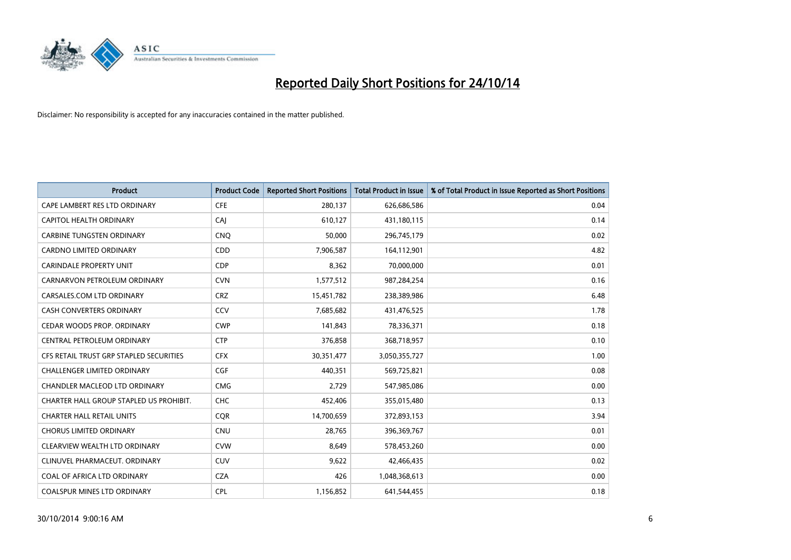

| <b>Product</b>                          | <b>Product Code</b> | <b>Reported Short Positions</b> | <b>Total Product in Issue</b> | % of Total Product in Issue Reported as Short Positions |
|-----------------------------------------|---------------------|---------------------------------|-------------------------------|---------------------------------------------------------|
| CAPE LAMBERT RES LTD ORDINARY           | <b>CFE</b>          | 280,137                         | 626,686,586                   | 0.04                                                    |
| CAPITOL HEALTH ORDINARY                 | CAI                 | 610,127                         | 431,180,115                   | 0.14                                                    |
| <b>CARBINE TUNGSTEN ORDINARY</b>        | <b>CNO</b>          | 50,000                          | 296,745,179                   | 0.02                                                    |
| CARDNO LIMITED ORDINARY                 | CDD                 | 7,906,587                       | 164,112,901                   | 4.82                                                    |
| <b>CARINDALE PROPERTY UNIT</b>          | <b>CDP</b>          | 8,362                           | 70,000,000                    | 0.01                                                    |
| CARNARVON PETROLEUM ORDINARY            | <b>CVN</b>          | 1,577,512                       | 987,284,254                   | 0.16                                                    |
| CARSALES.COM LTD ORDINARY               | <b>CRZ</b>          | 15,451,782                      | 238,389,986                   | 6.48                                                    |
| CASH CONVERTERS ORDINARY                | CCV                 | 7,685,682                       | 431,476,525                   | 1.78                                                    |
| CEDAR WOODS PROP. ORDINARY              | <b>CWP</b>          | 141,843                         | 78,336,371                    | 0.18                                                    |
| CENTRAL PETROLEUM ORDINARY              | <b>CTP</b>          | 376,858                         | 368,718,957                   | 0.10                                                    |
| CFS RETAIL TRUST GRP STAPLED SECURITIES | <b>CFX</b>          | 30, 351, 477                    | 3,050,355,727                 | 1.00                                                    |
| <b>CHALLENGER LIMITED ORDINARY</b>      | <b>CGF</b>          | 440,351                         | 569,725,821                   | 0.08                                                    |
| CHANDLER MACLEOD LTD ORDINARY           | <b>CMG</b>          | 2,729                           | 547,985,086                   | 0.00                                                    |
| CHARTER HALL GROUP STAPLED US PROHIBIT. | <b>CHC</b>          | 452,406                         | 355,015,480                   | 0.13                                                    |
| <b>CHARTER HALL RETAIL UNITS</b>        | <b>CQR</b>          | 14,700,659                      | 372,893,153                   | 3.94                                                    |
| <b>CHORUS LIMITED ORDINARY</b>          | <b>CNU</b>          | 28,765                          | 396,369,767                   | 0.01                                                    |
| CLEARVIEW WEALTH LTD ORDINARY           | <b>CVW</b>          | 8,649                           | 578,453,260                   | 0.00                                                    |
| CLINUVEL PHARMACEUT. ORDINARY           | <b>CUV</b>          | 9,622                           | 42,466,435                    | 0.02                                                    |
| COAL OF AFRICA LTD ORDINARY             | <b>CZA</b>          | 426                             | 1,048,368,613                 | 0.00                                                    |
| COALSPUR MINES LTD ORDINARY             | <b>CPL</b>          | 1,156,852                       | 641,544,455                   | 0.18                                                    |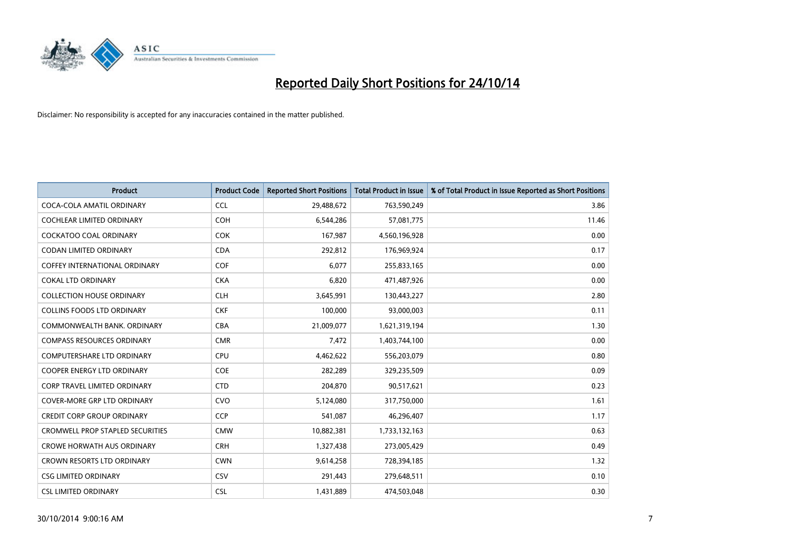

| <b>Product</b>                          | <b>Product Code</b> | <b>Reported Short Positions</b> | <b>Total Product in Issue</b> | % of Total Product in Issue Reported as Short Positions |
|-----------------------------------------|---------------------|---------------------------------|-------------------------------|---------------------------------------------------------|
| COCA-COLA AMATIL ORDINARY               | <b>CCL</b>          | 29,488,672                      | 763,590,249                   | 3.86                                                    |
| COCHLEAR LIMITED ORDINARY               | <b>COH</b>          | 6,544,286                       | 57,081,775                    | 11.46                                                   |
| COCKATOO COAL ORDINARY                  | <b>COK</b>          | 167,987                         | 4,560,196,928                 | 0.00                                                    |
| <b>CODAN LIMITED ORDINARY</b>           | <b>CDA</b>          | 292,812                         | 176,969,924                   | 0.17                                                    |
| COFFEY INTERNATIONAL ORDINARY           | <b>COF</b>          | 6,077                           | 255,833,165                   | 0.00                                                    |
| <b>COKAL LTD ORDINARY</b>               | <b>CKA</b>          | 6,820                           | 471,487,926                   | 0.00                                                    |
| <b>COLLECTION HOUSE ORDINARY</b>        | <b>CLH</b>          | 3,645,991                       | 130,443,227                   | 2.80                                                    |
| <b>COLLINS FOODS LTD ORDINARY</b>       | <b>CKF</b>          | 100,000                         | 93,000,003                    | 0.11                                                    |
| COMMONWEALTH BANK, ORDINARY             | <b>CBA</b>          | 21,009,077                      | 1,621,319,194                 | 1.30                                                    |
| <b>COMPASS RESOURCES ORDINARY</b>       | <b>CMR</b>          | 7,472                           | 1,403,744,100                 | 0.00                                                    |
| COMPUTERSHARE LTD ORDINARY              | <b>CPU</b>          | 4,462,622                       | 556,203,079                   | 0.80                                                    |
| <b>COOPER ENERGY LTD ORDINARY</b>       | <b>COE</b>          | 282,289                         | 329,235,509                   | 0.09                                                    |
| CORP TRAVEL LIMITED ORDINARY            | <b>CTD</b>          | 204,870                         | 90,517,621                    | 0.23                                                    |
| <b>COVER-MORE GRP LTD ORDINARY</b>      | <b>CVO</b>          | 5,124,080                       | 317,750,000                   | 1.61                                                    |
| <b>CREDIT CORP GROUP ORDINARY</b>       | <b>CCP</b>          | 541,087                         | 46,296,407                    | 1.17                                                    |
| <b>CROMWELL PROP STAPLED SECURITIES</b> | <b>CMW</b>          | 10,882,381                      | 1,733,132,163                 | 0.63                                                    |
| <b>CROWE HORWATH AUS ORDINARY</b>       | <b>CRH</b>          | 1,327,438                       | 273,005,429                   | 0.49                                                    |
| CROWN RESORTS LTD ORDINARY              | <b>CWN</b>          | 9,614,258                       | 728,394,185                   | 1.32                                                    |
| <b>CSG LIMITED ORDINARY</b>             | CSV                 | 291,443                         | 279,648,511                   | 0.10                                                    |
| <b>CSL LIMITED ORDINARY</b>             | <b>CSL</b>          | 1,431,889                       | 474,503,048                   | 0.30                                                    |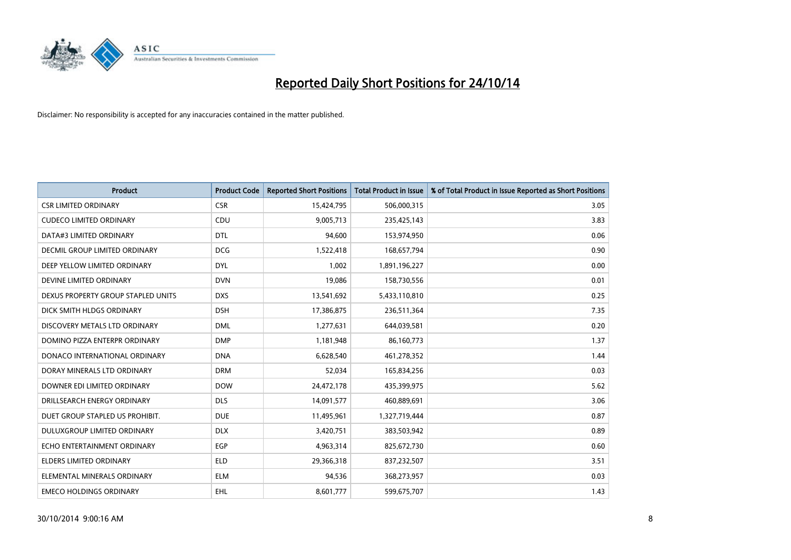

| <b>Product</b>                     | <b>Product Code</b> | <b>Reported Short Positions</b> | <b>Total Product in Issue</b> | % of Total Product in Issue Reported as Short Positions |
|------------------------------------|---------------------|---------------------------------|-------------------------------|---------------------------------------------------------|
| <b>CSR LIMITED ORDINARY</b>        | <b>CSR</b>          | 15,424,795                      | 506,000,315                   | 3.05                                                    |
| <b>CUDECO LIMITED ORDINARY</b>     | CDU                 | 9,005,713                       | 235,425,143                   | 3.83                                                    |
| DATA#3 LIMITED ORDINARY            | <b>DTL</b>          | 94,600                          | 153,974,950                   | 0.06                                                    |
| DECMIL GROUP LIMITED ORDINARY      | <b>DCG</b>          | 1,522,418                       | 168,657,794                   | 0.90                                                    |
| DEEP YELLOW LIMITED ORDINARY       | <b>DYL</b>          | 1,002                           | 1,891,196,227                 | 0.00                                                    |
| DEVINE LIMITED ORDINARY            | <b>DVN</b>          | 19,086                          | 158,730,556                   | 0.01                                                    |
| DEXUS PROPERTY GROUP STAPLED UNITS | <b>DXS</b>          | 13,541,692                      | 5,433,110,810                 | 0.25                                                    |
| DICK SMITH HLDGS ORDINARY          | <b>DSH</b>          | 17,386,875                      | 236,511,364                   | 7.35                                                    |
| DISCOVERY METALS LTD ORDINARY      | <b>DML</b>          | 1,277,631                       | 644,039,581                   | 0.20                                                    |
| DOMINO PIZZA ENTERPR ORDINARY      | <b>DMP</b>          | 1,181,948                       | 86,160,773                    | 1.37                                                    |
| DONACO INTERNATIONAL ORDINARY      | <b>DNA</b>          | 6,628,540                       | 461,278,352                   | 1.44                                                    |
| DORAY MINERALS LTD ORDINARY        | <b>DRM</b>          | 52,034                          | 165,834,256                   | 0.03                                                    |
| DOWNER EDI LIMITED ORDINARY        | <b>DOW</b>          | 24,472,178                      | 435,399,975                   | 5.62                                                    |
| DRILLSEARCH ENERGY ORDINARY        | <b>DLS</b>          | 14,091,577                      | 460,889,691                   | 3.06                                                    |
| DUET GROUP STAPLED US PROHIBIT.    | <b>DUE</b>          | 11,495,961                      | 1,327,719,444                 | 0.87                                                    |
| DULUXGROUP LIMITED ORDINARY        | <b>DLX</b>          | 3,420,751                       | 383,503,942                   | 0.89                                                    |
| ECHO ENTERTAINMENT ORDINARY        | EGP                 | 4,963,314                       | 825,672,730                   | 0.60                                                    |
| ELDERS LIMITED ORDINARY            | <b>ELD</b>          | 29,366,318                      | 837,232,507                   | 3.51                                                    |
| ELEMENTAL MINERALS ORDINARY        | <b>ELM</b>          | 94,536                          | 368,273,957                   | 0.03                                                    |
| <b>EMECO HOLDINGS ORDINARY</b>     | EHL                 | 8,601,777                       | 599,675,707                   | 1.43                                                    |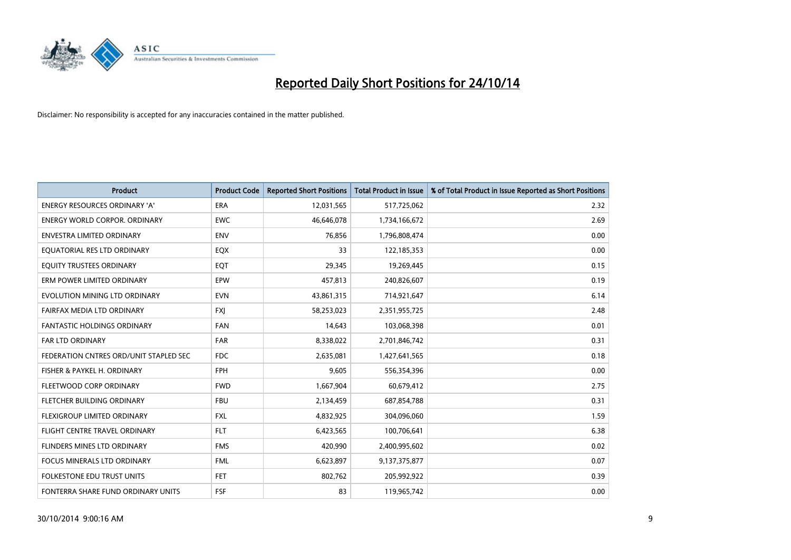

| <b>Product</b>                         | <b>Product Code</b> | <b>Reported Short Positions</b> | <b>Total Product in Issue</b> | % of Total Product in Issue Reported as Short Positions |
|----------------------------------------|---------------------|---------------------------------|-------------------------------|---------------------------------------------------------|
| <b>ENERGY RESOURCES ORDINARY 'A'</b>   | <b>ERA</b>          | 12,031,565                      | 517,725,062                   | 2.32                                                    |
| <b>ENERGY WORLD CORPOR, ORDINARY</b>   | <b>EWC</b>          | 46,646,078                      | 1,734,166,672                 | 2.69                                                    |
| <b>ENVESTRA LIMITED ORDINARY</b>       | <b>ENV</b>          | 76,856                          | 1,796,808,474                 | 0.00                                                    |
| EQUATORIAL RES LTD ORDINARY            | EQX                 | 33                              | 122,185,353                   | 0.00                                                    |
| EQUITY TRUSTEES ORDINARY               | EQT                 | 29,345                          | 19,269,445                    | 0.15                                                    |
| ERM POWER LIMITED ORDINARY             | EPW                 | 457,813                         | 240,826,607                   | 0.19                                                    |
| EVOLUTION MINING LTD ORDINARY          | <b>EVN</b>          | 43,861,315                      | 714,921,647                   | 6.14                                                    |
| FAIRFAX MEDIA LTD ORDINARY             | <b>FXI</b>          | 58,253,023                      | 2,351,955,725                 | 2.48                                                    |
| FANTASTIC HOLDINGS ORDINARY            | <b>FAN</b>          | 14,643                          | 103,068,398                   | 0.01                                                    |
| <b>FAR LTD ORDINARY</b>                | <b>FAR</b>          | 8,338,022                       | 2,701,846,742                 | 0.31                                                    |
| FEDERATION CNTRES ORD/UNIT STAPLED SEC | <b>FDC</b>          | 2,635,081                       | 1,427,641,565                 | 0.18                                                    |
| FISHER & PAYKEL H. ORDINARY            | <b>FPH</b>          | 9,605                           | 556,354,396                   | 0.00                                                    |
| FLEETWOOD CORP ORDINARY                | <b>FWD</b>          | 1,667,904                       | 60,679,412                    | 2.75                                                    |
| FLETCHER BUILDING ORDINARY             | <b>FBU</b>          | 2,134,459                       | 687,854,788                   | 0.31                                                    |
| FLEXIGROUP LIMITED ORDINARY            | <b>FXL</b>          | 4,832,925                       | 304,096,060                   | 1.59                                                    |
| FLIGHT CENTRE TRAVEL ORDINARY          | <b>FLT</b>          | 6,423,565                       | 100,706,641                   | 6.38                                                    |
| FLINDERS MINES LTD ORDINARY            | <b>FMS</b>          | 420,990                         | 2,400,995,602                 | 0.02                                                    |
| <b>FOCUS MINERALS LTD ORDINARY</b>     | <b>FML</b>          | 6,623,897                       | 9,137,375,877                 | 0.07                                                    |
| <b>FOLKESTONE EDU TRUST UNITS</b>      | <b>FET</b>          | 802,762                         | 205,992,922                   | 0.39                                                    |
| FONTERRA SHARE FUND ORDINARY UNITS     | <b>FSF</b>          | 83                              | 119,965,742                   | 0.00                                                    |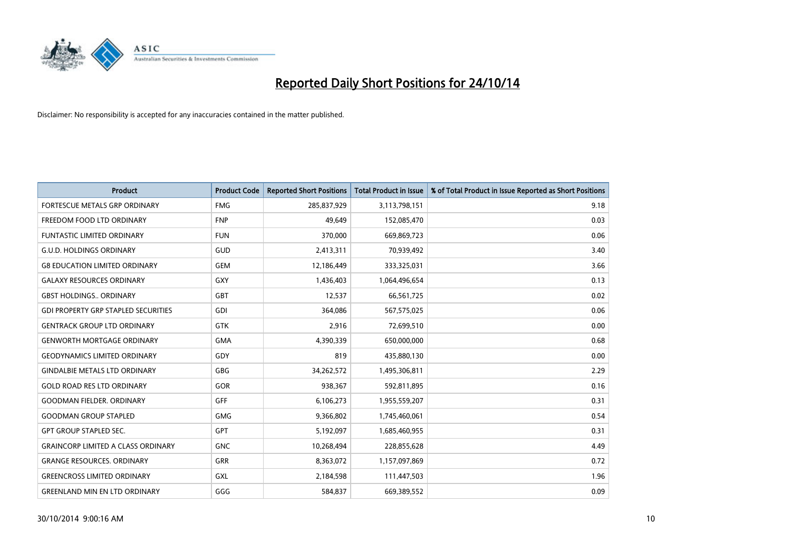

| <b>Product</b>                             | <b>Product Code</b> | <b>Reported Short Positions</b> | <b>Total Product in Issue</b> | % of Total Product in Issue Reported as Short Positions |
|--------------------------------------------|---------------------|---------------------------------|-------------------------------|---------------------------------------------------------|
| FORTESCUE METALS GRP ORDINARY              | <b>FMG</b>          | 285,837,929                     | 3,113,798,151                 | 9.18                                                    |
| FREEDOM FOOD LTD ORDINARY                  | <b>FNP</b>          | 49,649                          | 152,085,470                   | 0.03                                                    |
| <b>FUNTASTIC LIMITED ORDINARY</b>          | <b>FUN</b>          | 370,000                         | 669,869,723                   | 0.06                                                    |
| <b>G.U.D. HOLDINGS ORDINARY</b>            | GUD                 | 2,413,311                       | 70,939,492                    | 3.40                                                    |
| <b>G8 EDUCATION LIMITED ORDINARY</b>       | <b>GEM</b>          | 12,186,449                      | 333,325,031                   | 3.66                                                    |
| <b>GALAXY RESOURCES ORDINARY</b>           | GXY                 | 1,436,403                       | 1,064,496,654                 | 0.13                                                    |
| <b>GBST HOLDINGS ORDINARY</b>              | <b>GBT</b>          | 12,537                          | 66,561,725                    | 0.02                                                    |
| <b>GDI PROPERTY GRP STAPLED SECURITIES</b> | <b>GDI</b>          | 364,086                         | 567,575,025                   | 0.06                                                    |
| <b>GENTRACK GROUP LTD ORDINARY</b>         | <b>GTK</b>          | 2,916                           | 72,699,510                    | 0.00                                                    |
| <b>GENWORTH MORTGAGE ORDINARY</b>          | <b>GMA</b>          | 4,390,339                       | 650,000,000                   | 0.68                                                    |
| <b>GEODYNAMICS LIMITED ORDINARY</b>        | GDY                 | 819                             | 435,880,130                   | 0.00                                                    |
| <b>GINDALBIE METALS LTD ORDINARY</b>       | GBG                 | 34,262,572                      | 1,495,306,811                 | 2.29                                                    |
| <b>GOLD ROAD RES LTD ORDINARY</b>          | <b>GOR</b>          | 938,367                         | 592,811,895                   | 0.16                                                    |
| <b>GOODMAN FIELDER, ORDINARY</b>           | <b>GFF</b>          | 6,106,273                       | 1,955,559,207                 | 0.31                                                    |
| <b>GOODMAN GROUP STAPLED</b>               | <b>GMG</b>          | 9,366,802                       | 1,745,460,061                 | 0.54                                                    |
| <b>GPT GROUP STAPLED SEC.</b>              | GPT                 | 5,192,097                       | 1,685,460,955                 | 0.31                                                    |
| <b>GRAINCORP LIMITED A CLASS ORDINARY</b>  | <b>GNC</b>          | 10,268,494                      | 228,855,628                   | 4.49                                                    |
| <b>GRANGE RESOURCES, ORDINARY</b>          | GRR                 | 8,363,072                       | 1,157,097,869                 | 0.72                                                    |
| <b>GREENCROSS LIMITED ORDINARY</b>         | <b>GXL</b>          | 2,184,598                       | 111,447,503                   | 1.96                                                    |
| <b>GREENLAND MIN EN LTD ORDINARY</b>       | GGG                 | 584,837                         | 669,389,552                   | 0.09                                                    |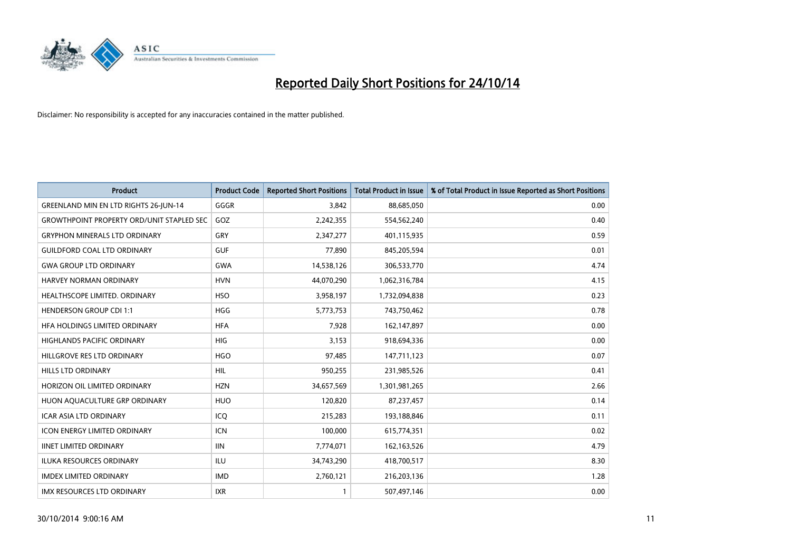

| <b>Product</b>                                   | <b>Product Code</b> | <b>Reported Short Positions</b> | <b>Total Product in Issue</b> | % of Total Product in Issue Reported as Short Positions |
|--------------------------------------------------|---------------------|---------------------------------|-------------------------------|---------------------------------------------------------|
| <b>GREENLAND MIN EN LTD RIGHTS 26-JUN-14</b>     | GGGR                | 3,842                           | 88,685,050                    | 0.00                                                    |
| <b>GROWTHPOINT PROPERTY ORD/UNIT STAPLED SEC</b> | GOZ                 | 2,242,355                       | 554,562,240                   | 0.40                                                    |
| <b>GRYPHON MINERALS LTD ORDINARY</b>             | GRY                 | 2,347,277                       | 401,115,935                   | 0.59                                                    |
| <b>GUILDFORD COAL LTD ORDINARY</b>               | <b>GUF</b>          | 77,890                          | 845,205,594                   | 0.01                                                    |
| <b>GWA GROUP LTD ORDINARY</b>                    | <b>GWA</b>          | 14,538,126                      | 306,533,770                   | 4.74                                                    |
| <b>HARVEY NORMAN ORDINARY</b>                    | <b>HVN</b>          | 44,070,290                      | 1,062,316,784                 | 4.15                                                    |
| <b>HEALTHSCOPE LIMITED, ORDINARY</b>             | <b>HSO</b>          | 3,958,197                       | 1,732,094,838                 | 0.23                                                    |
| <b>HENDERSON GROUP CDI 1:1</b>                   | <b>HGG</b>          | 5,773,753                       | 743,750,462                   | 0.78                                                    |
| HFA HOLDINGS LIMITED ORDINARY                    | <b>HFA</b>          | 7,928                           | 162,147,897                   | 0.00                                                    |
| <b>HIGHLANDS PACIFIC ORDINARY</b>                | <b>HIG</b>          | 3,153                           | 918,694,336                   | 0.00                                                    |
| HILLGROVE RES LTD ORDINARY                       | <b>HGO</b>          | 97,485                          | 147,711,123                   | 0.07                                                    |
| HILLS LTD ORDINARY                               | HIL                 | 950,255                         | 231,985,526                   | 0.41                                                    |
| HORIZON OIL LIMITED ORDINARY                     | <b>HZN</b>          | 34,657,569                      | 1,301,981,265                 | 2.66                                                    |
| HUON AQUACULTURE GRP ORDINARY                    | <b>HUO</b>          | 120,820                         | 87,237,457                    | 0.14                                                    |
| <b>ICAR ASIA LTD ORDINARY</b>                    | ICQ                 | 215,283                         | 193,188,846                   | 0.11                                                    |
| ICON ENERGY LIMITED ORDINARY                     | <b>ICN</b>          | 100,000                         | 615,774,351                   | 0.02                                                    |
| <b>IINET LIMITED ORDINARY</b>                    | <b>IIN</b>          | 7,774,071                       | 162,163,526                   | 4.79                                                    |
| ILUKA RESOURCES ORDINARY                         | ILU                 | 34,743,290                      | 418,700,517                   | 8.30                                                    |
| <b>IMDEX LIMITED ORDINARY</b>                    | <b>IMD</b>          | 2,760,121                       | 216,203,136                   | 1.28                                                    |
| IMX RESOURCES LTD ORDINARY                       | <b>IXR</b>          | $\mathbf{1}$                    | 507,497,146                   | 0.00                                                    |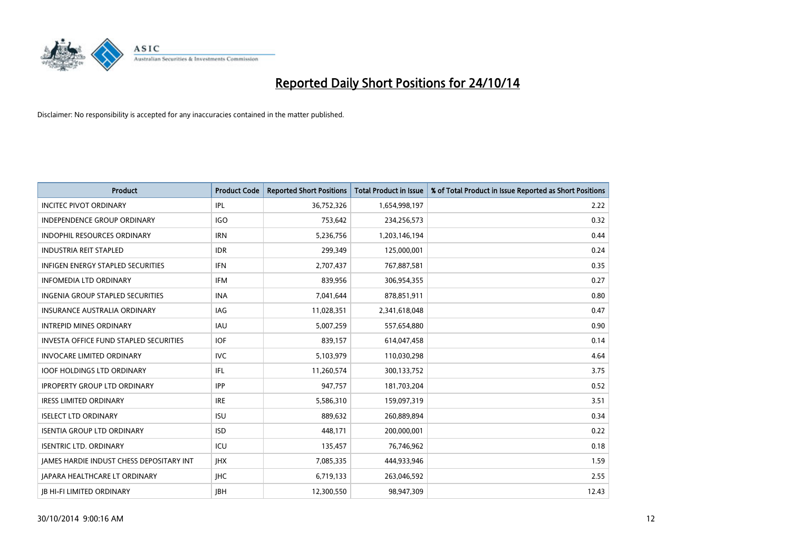

| <b>Product</b>                                | <b>Product Code</b> | <b>Reported Short Positions</b> | <b>Total Product in Issue</b> | % of Total Product in Issue Reported as Short Positions |
|-----------------------------------------------|---------------------|---------------------------------|-------------------------------|---------------------------------------------------------|
| <b>INCITEC PIVOT ORDINARY</b>                 | IPL                 | 36,752,326                      | 1,654,998,197                 | 2.22                                                    |
| <b>INDEPENDENCE GROUP ORDINARY</b>            | <b>IGO</b>          | 753,642                         | 234,256,573                   | 0.32                                                    |
| <b>INDOPHIL RESOURCES ORDINARY</b>            | <b>IRN</b>          | 5,236,756                       | 1,203,146,194                 | 0.44                                                    |
| <b>INDUSTRIA REIT STAPLED</b>                 | <b>IDR</b>          | 299,349                         | 125,000,001                   | 0.24                                                    |
| <b>INFIGEN ENERGY STAPLED SECURITIES</b>      | <b>IFN</b>          | 2,707,437                       | 767,887,581                   | 0.35                                                    |
| <b>INFOMEDIA LTD ORDINARY</b>                 | IFM                 | 839,956                         | 306,954,355                   | 0.27                                                    |
| <b>INGENIA GROUP STAPLED SECURITIES</b>       | <b>INA</b>          | 7,041,644                       | 878,851,911                   | 0.80                                                    |
| <b>INSURANCE AUSTRALIA ORDINARY</b>           | IAG                 | 11,028,351                      | 2,341,618,048                 | 0.47                                                    |
| <b>INTREPID MINES ORDINARY</b>                | <b>IAU</b>          | 5,007,259                       | 557,654,880                   | 0.90                                                    |
| <b>INVESTA OFFICE FUND STAPLED SECURITIES</b> | <b>IOF</b>          | 839,157                         | 614,047,458                   | 0.14                                                    |
| <b>INVOCARE LIMITED ORDINARY</b>              | <b>IVC</b>          | 5,103,979                       | 110,030,298                   | 4.64                                                    |
| <b>IOOF HOLDINGS LTD ORDINARY</b>             | IFL                 | 11,260,574                      | 300,133,752                   | 3.75                                                    |
| <b>IPROPERTY GROUP LTD ORDINARY</b>           | <b>IPP</b>          | 947.757                         | 181,703,204                   | 0.52                                                    |
| <b>IRESS LIMITED ORDINARY</b>                 | <b>IRE</b>          | 5,586,310                       | 159,097,319                   | 3.51                                                    |
| <b>ISELECT LTD ORDINARY</b>                   | <b>ISU</b>          | 889,632                         | 260,889,894                   | 0.34                                                    |
| <b>ISENTIA GROUP LTD ORDINARY</b>             | <b>ISD</b>          | 448,171                         | 200,000,001                   | 0.22                                                    |
| <b>ISENTRIC LTD. ORDINARY</b>                 | ICU                 | 135,457                         | 76,746,962                    | 0.18                                                    |
| JAMES HARDIE INDUST CHESS DEPOSITARY INT      | <b>IHX</b>          | 7,085,335                       | 444,933,946                   | 1.59                                                    |
| <b>IAPARA HEALTHCARE LT ORDINARY</b>          | <b>IHC</b>          | 6,719,133                       | 263,046,592                   | 2.55                                                    |
| <b>IB HI-FI LIMITED ORDINARY</b>              | <b>IBH</b>          | 12,300,550                      | 98.947.309                    | 12.43                                                   |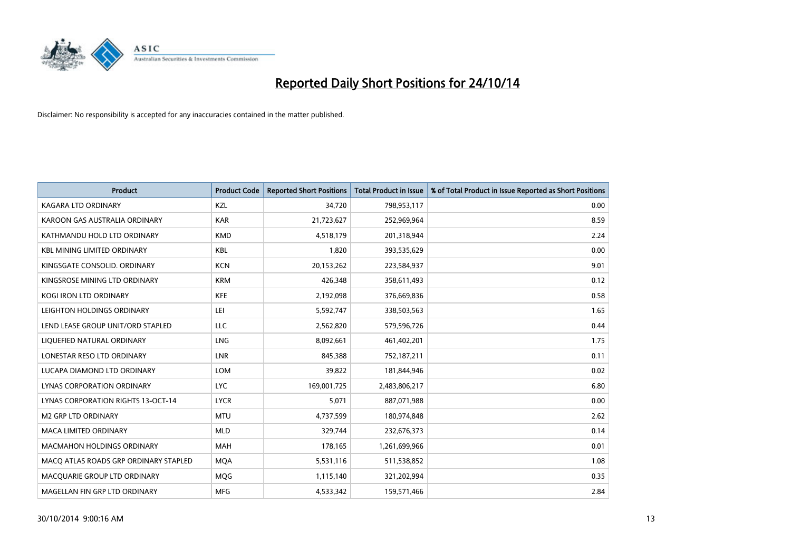

| <b>Product</b>                        | <b>Product Code</b> | <b>Reported Short Positions</b> | <b>Total Product in Issue</b> | % of Total Product in Issue Reported as Short Positions |
|---------------------------------------|---------------------|---------------------------------|-------------------------------|---------------------------------------------------------|
| <b>KAGARA LTD ORDINARY</b>            | KZL                 | 34,720                          | 798,953,117                   | 0.00                                                    |
| KAROON GAS AUSTRALIA ORDINARY         | <b>KAR</b>          | 21,723,627                      | 252,969,964                   | 8.59                                                    |
| KATHMANDU HOLD LTD ORDINARY           | <b>KMD</b>          | 4,518,179                       | 201,318,944                   | 2.24                                                    |
| <b>KBL MINING LIMITED ORDINARY</b>    | <b>KBL</b>          | 1,820                           | 393,535,629                   | 0.00                                                    |
| KINGSGATE CONSOLID. ORDINARY          | <b>KCN</b>          | 20,153,262                      | 223,584,937                   | 9.01                                                    |
| KINGSROSE MINING LTD ORDINARY         | <b>KRM</b>          | 426,348                         | 358,611,493                   | 0.12                                                    |
| <b>KOGI IRON LTD ORDINARY</b>         | <b>KFE</b>          | 2,192,098                       | 376,669,836                   | 0.58                                                    |
| LEIGHTON HOLDINGS ORDINARY            | LEI                 | 5,592,747                       | 338,503,563                   | 1.65                                                    |
| LEND LEASE GROUP UNIT/ORD STAPLED     | <b>LLC</b>          | 2,562,820                       | 579,596,726                   | 0.44                                                    |
| LIQUEFIED NATURAL ORDINARY            | <b>LNG</b>          | 8,092,661                       | 461,402,201                   | 1.75                                                    |
| LONESTAR RESO LTD ORDINARY            | LNR                 | 845,388                         | 752,187,211                   | 0.11                                                    |
| LUCAPA DIAMOND LTD ORDINARY           | LOM                 | 39,822                          | 181,844,946                   | 0.02                                                    |
| LYNAS CORPORATION ORDINARY            | <b>LYC</b>          | 169,001,725                     | 2,483,806,217                 | 6.80                                                    |
| LYNAS CORPORATION RIGHTS 13-OCT-14    | <b>LYCR</b>         | 5,071                           | 887,071,988                   | 0.00                                                    |
| <b>M2 GRP LTD ORDINARY</b>            | <b>MTU</b>          | 4,737,599                       | 180,974,848                   | 2.62                                                    |
| MACA LIMITED ORDINARY                 | <b>MLD</b>          | 329,744                         | 232,676,373                   | 0.14                                                    |
| MACMAHON HOLDINGS ORDINARY            | MAH                 | 178,165                         | 1,261,699,966                 | 0.01                                                    |
| MACO ATLAS ROADS GRP ORDINARY STAPLED | <b>MOA</b>          | 5,531,116                       | 511,538,852                   | 1.08                                                    |
| MACQUARIE GROUP LTD ORDINARY          | <b>MOG</b>          | 1,115,140                       | 321,202,994                   | 0.35                                                    |
| MAGELLAN FIN GRP LTD ORDINARY         | <b>MFG</b>          | 4,533,342                       | 159,571,466                   | 2.84                                                    |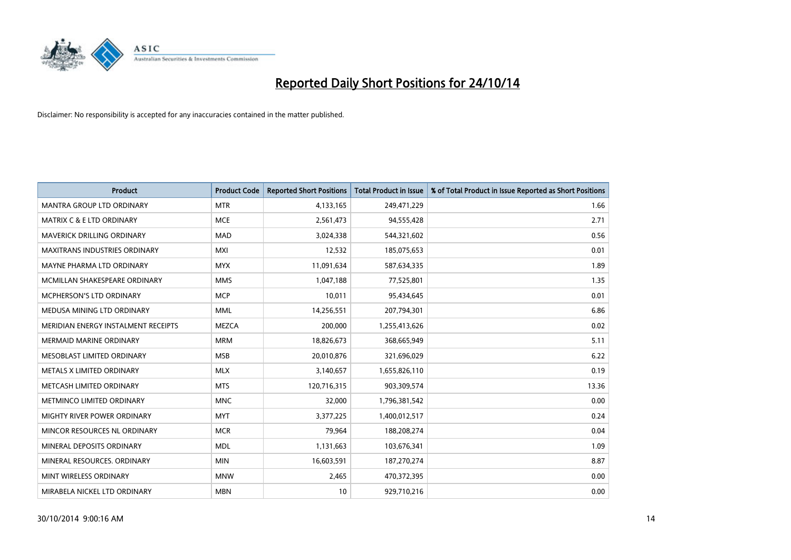

| <b>Product</b>                       | <b>Product Code</b> | <b>Reported Short Positions</b> | <b>Total Product in Issue</b> | % of Total Product in Issue Reported as Short Positions |
|--------------------------------------|---------------------|---------------------------------|-------------------------------|---------------------------------------------------------|
| <b>MANTRA GROUP LTD ORDINARY</b>     | <b>MTR</b>          | 4,133,165                       | 249,471,229                   | 1.66                                                    |
| <b>MATRIX C &amp; E LTD ORDINARY</b> | <b>MCE</b>          | 2,561,473                       | 94,555,428                    | 2.71                                                    |
| MAVERICK DRILLING ORDINARY           | <b>MAD</b>          | 3,024,338                       | 544,321,602                   | 0.56                                                    |
| MAXITRANS INDUSTRIES ORDINARY        | <b>MXI</b>          | 12,532                          | 185,075,653                   | 0.01                                                    |
| MAYNE PHARMA LTD ORDINARY            | <b>MYX</b>          | 11,091,634                      | 587,634,335                   | 1.89                                                    |
| MCMILLAN SHAKESPEARE ORDINARY        | <b>MMS</b>          | 1,047,188                       | 77,525,801                    | 1.35                                                    |
| <b>MCPHERSON'S LTD ORDINARY</b>      | <b>MCP</b>          | 10,011                          | 95,434,645                    | 0.01                                                    |
| MEDUSA MINING LTD ORDINARY           | <b>MML</b>          | 14,256,551                      | 207,794,301                   | 6.86                                                    |
| MERIDIAN ENERGY INSTALMENT RECEIPTS  | <b>MEZCA</b>        | 200,000                         | 1,255,413,626                 | 0.02                                                    |
| <b>MERMAID MARINE ORDINARY</b>       | <b>MRM</b>          | 18,826,673                      | 368,665,949                   | 5.11                                                    |
| MESOBLAST LIMITED ORDINARY           | <b>MSB</b>          | 20,010,876                      | 321,696,029                   | 6.22                                                    |
| METALS X LIMITED ORDINARY            | <b>MLX</b>          | 3,140,657                       | 1,655,826,110                 | 0.19                                                    |
| METCASH LIMITED ORDINARY             | <b>MTS</b>          | 120,716,315                     | 903,309,574                   | 13.36                                                   |
| METMINCO LIMITED ORDINARY            | <b>MNC</b>          | 32,000                          | 1,796,381,542                 | 0.00                                                    |
| MIGHTY RIVER POWER ORDINARY          | <b>MYT</b>          | 3,377,225                       | 1,400,012,517                 | 0.24                                                    |
| MINCOR RESOURCES NL ORDINARY         | <b>MCR</b>          | 79,964                          | 188,208,274                   | 0.04                                                    |
| MINERAL DEPOSITS ORDINARY            | <b>MDL</b>          | 1,131,663                       | 103,676,341                   | 1.09                                                    |
| MINERAL RESOURCES. ORDINARY          | <b>MIN</b>          | 16,603,591                      | 187,270,274                   | 8.87                                                    |
| MINT WIRELESS ORDINARY               | <b>MNW</b>          | 2,465                           | 470,372,395                   | 0.00                                                    |
| MIRABELA NICKEL LTD ORDINARY         | <b>MBN</b>          | 10                              | 929,710,216                   | 0.00                                                    |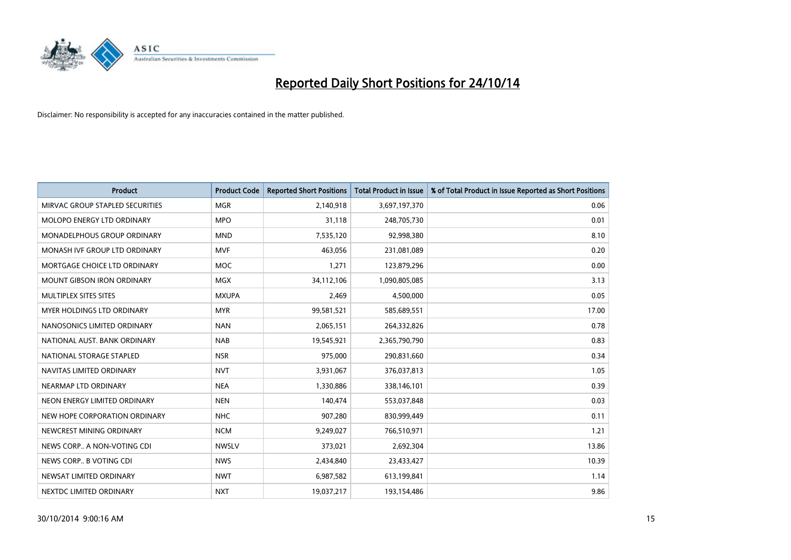

| <b>Product</b>                    | <b>Product Code</b> | <b>Reported Short Positions</b> | <b>Total Product in Issue</b> | % of Total Product in Issue Reported as Short Positions |
|-----------------------------------|---------------------|---------------------------------|-------------------------------|---------------------------------------------------------|
| MIRVAC GROUP STAPLED SECURITIES   | <b>MGR</b>          | 2,140,918                       | 3,697,197,370                 | 0.06                                                    |
| MOLOPO ENERGY LTD ORDINARY        | <b>MPO</b>          | 31,118                          | 248,705,730                   | 0.01                                                    |
| MONADELPHOUS GROUP ORDINARY       | <b>MND</b>          | 7,535,120                       | 92,998,380                    | 8.10                                                    |
| MONASH IVF GROUP LTD ORDINARY     | MVF                 | 463,056                         | 231,081,089                   | 0.20                                                    |
| MORTGAGE CHOICE LTD ORDINARY      | MOC                 | 1,271                           | 123,879,296                   | 0.00                                                    |
| <b>MOUNT GIBSON IRON ORDINARY</b> | MGX                 | 34,112,106                      | 1,090,805,085                 | 3.13                                                    |
| MULTIPLEX SITES SITES             | <b>MXUPA</b>        | 2,469                           | 4,500,000                     | 0.05                                                    |
| <b>MYER HOLDINGS LTD ORDINARY</b> | <b>MYR</b>          | 99,581,521                      | 585,689,551                   | 17.00                                                   |
| NANOSONICS LIMITED ORDINARY       | <b>NAN</b>          | 2,065,151                       | 264,332,826                   | 0.78                                                    |
| NATIONAL AUST, BANK ORDINARY      | <b>NAB</b>          | 19,545,921                      | 2,365,790,790                 | 0.83                                                    |
| NATIONAL STORAGE STAPLED          | <b>NSR</b>          | 975,000                         | 290,831,660                   | 0.34                                                    |
| NAVITAS LIMITED ORDINARY          | <b>NVT</b>          | 3,931,067                       | 376,037,813                   | 1.05                                                    |
| NEARMAP LTD ORDINARY              | <b>NEA</b>          | 1,330,886                       | 338,146,101                   | 0.39                                                    |
| NEON ENERGY LIMITED ORDINARY      | <b>NEN</b>          | 140,474                         | 553,037,848                   | 0.03                                                    |
| NEW HOPE CORPORATION ORDINARY     | <b>NHC</b>          | 907,280                         | 830,999,449                   | 0.11                                                    |
| NEWCREST MINING ORDINARY          | <b>NCM</b>          | 9,249,027                       | 766,510,971                   | 1.21                                                    |
| NEWS CORP A NON-VOTING CDI        | <b>NWSLV</b>        | 373,021                         | 2,692,304                     | 13.86                                                   |
| NEWS CORP B VOTING CDI            | <b>NWS</b>          | 2,434,840                       | 23,433,427                    | 10.39                                                   |
| NEWSAT LIMITED ORDINARY           | <b>NWT</b>          | 6,987,582                       | 613,199,841                   | 1.14                                                    |
| NEXTDC LIMITED ORDINARY           | <b>NXT</b>          | 19,037,217                      | 193,154,486                   | 9.86                                                    |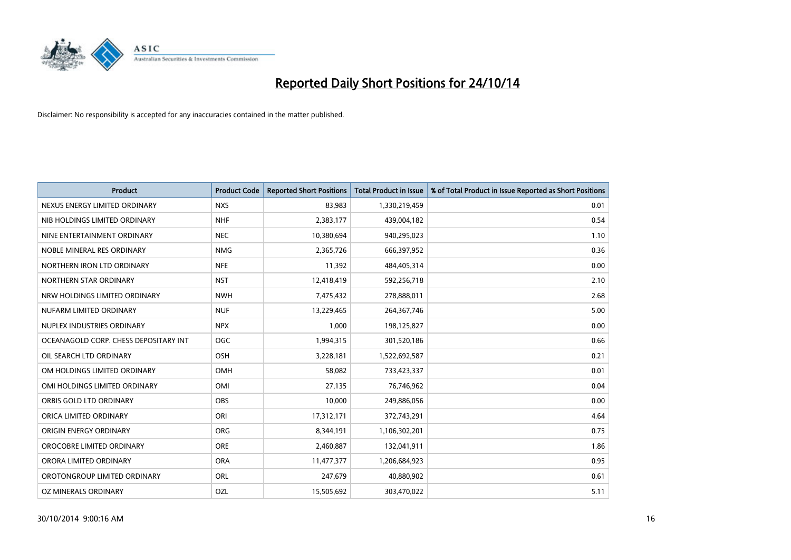

| <b>Product</b>                        | <b>Product Code</b> | <b>Reported Short Positions</b> | <b>Total Product in Issue</b> | % of Total Product in Issue Reported as Short Positions |
|---------------------------------------|---------------------|---------------------------------|-------------------------------|---------------------------------------------------------|
| NEXUS ENERGY LIMITED ORDINARY         | <b>NXS</b>          | 83,983                          | 1,330,219,459                 | 0.01                                                    |
| NIB HOLDINGS LIMITED ORDINARY         | <b>NHF</b>          | 2,383,177                       | 439,004,182                   | 0.54                                                    |
| NINE ENTERTAINMENT ORDINARY           | <b>NEC</b>          | 10,380,694                      | 940,295,023                   | 1.10                                                    |
| NOBLE MINERAL RES ORDINARY            | <b>NMG</b>          | 2,365,726                       | 666,397,952                   | 0.36                                                    |
| NORTHERN IRON LTD ORDINARY            | <b>NFE</b>          | 11,392                          | 484,405,314                   | 0.00                                                    |
| NORTHERN STAR ORDINARY                | <b>NST</b>          | 12,418,419                      | 592,256,718                   | 2.10                                                    |
| NRW HOLDINGS LIMITED ORDINARY         | <b>NWH</b>          | 7,475,432                       | 278,888,011                   | 2.68                                                    |
| NUFARM LIMITED ORDINARY               | <b>NUF</b>          | 13,229,465                      | 264, 367, 746                 | 5.00                                                    |
| NUPLEX INDUSTRIES ORDINARY            | <b>NPX</b>          | 1,000                           | 198,125,827                   | 0.00                                                    |
| OCEANAGOLD CORP. CHESS DEPOSITARY INT | <b>OGC</b>          | 1,994,315                       | 301,520,186                   | 0.66                                                    |
| OIL SEARCH LTD ORDINARY               | OSH                 | 3,228,181                       | 1,522,692,587                 | 0.21                                                    |
| OM HOLDINGS LIMITED ORDINARY          | <b>OMH</b>          | 58,082                          | 733,423,337                   | 0.01                                                    |
| OMI HOLDINGS LIMITED ORDINARY         | OMI                 | 27,135                          | 76,746,962                    | 0.04                                                    |
| ORBIS GOLD LTD ORDINARY               | OBS                 | 10,000                          | 249,886,056                   | 0.00                                                    |
| ORICA LIMITED ORDINARY                | ORI                 | 17,312,171                      | 372,743,291                   | 4.64                                                    |
| ORIGIN ENERGY ORDINARY                | ORG                 | 8,344,191                       | 1,106,302,201                 | 0.75                                                    |
| OROCOBRE LIMITED ORDINARY             | <b>ORE</b>          | 2,460,887                       | 132,041,911                   | 1.86                                                    |
| ORORA LIMITED ORDINARY                | <b>ORA</b>          | 11,477,377                      | 1,206,684,923                 | 0.95                                                    |
| OROTONGROUP LIMITED ORDINARY          | <b>ORL</b>          | 247,679                         | 40,880,902                    | 0.61                                                    |
| OZ MINERALS ORDINARY                  | OZL                 | 15,505,692                      | 303,470,022                   | 5.11                                                    |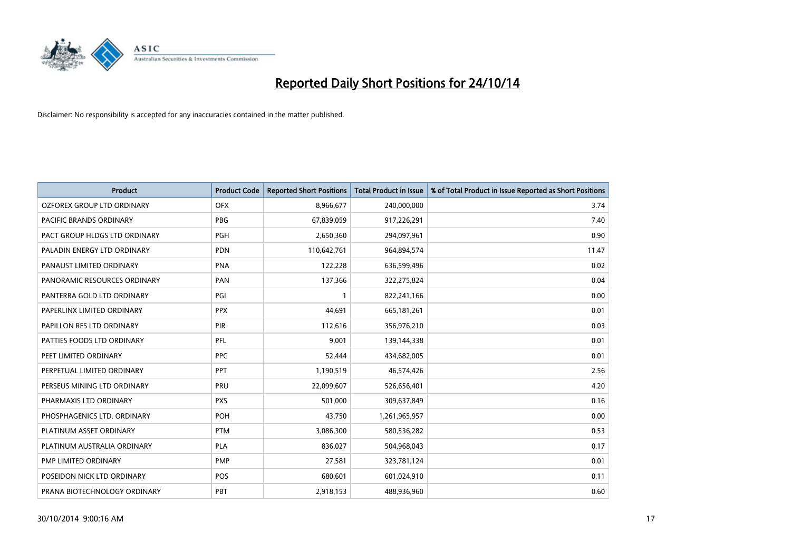

| <b>Product</b>                | <b>Product Code</b> | <b>Reported Short Positions</b> | <b>Total Product in Issue</b> | % of Total Product in Issue Reported as Short Positions |
|-------------------------------|---------------------|---------------------------------|-------------------------------|---------------------------------------------------------|
| OZFOREX GROUP LTD ORDINARY    | <b>OFX</b>          | 8,966,677                       | 240,000,000                   | 3.74                                                    |
| PACIFIC BRANDS ORDINARY       | <b>PBG</b>          | 67,839,059                      | 917,226,291                   | 7.40                                                    |
| PACT GROUP HLDGS LTD ORDINARY | <b>PGH</b>          | 2,650,360                       | 294,097,961                   | 0.90                                                    |
| PALADIN ENERGY LTD ORDINARY   | <b>PDN</b>          | 110,642,761                     | 964,894,574                   | 11.47                                                   |
| PANAUST LIMITED ORDINARY      | <b>PNA</b>          | 122,228                         | 636,599,496                   | 0.02                                                    |
| PANORAMIC RESOURCES ORDINARY  | PAN                 | 137,366                         | 322,275,824                   | 0.04                                                    |
| PANTERRA GOLD LTD ORDINARY    | PGI                 |                                 | 822,241,166                   | 0.00                                                    |
| PAPERLINX LIMITED ORDINARY    | <b>PPX</b>          | 44,691                          | 665, 181, 261                 | 0.01                                                    |
| PAPILLON RES LTD ORDINARY     | PIR                 | 112,616                         | 356,976,210                   | 0.03                                                    |
| PATTIES FOODS LTD ORDINARY    | <b>PFL</b>          | 9,001                           | 139,144,338                   | 0.01                                                    |
| PEET LIMITED ORDINARY         | <b>PPC</b>          | 52,444                          | 434,682,005                   | 0.01                                                    |
| PERPETUAL LIMITED ORDINARY    | <b>PPT</b>          | 1,190,519                       | 46,574,426                    | 2.56                                                    |
| PERSEUS MINING LTD ORDINARY   | PRU                 | 22,099,607                      | 526,656,401                   | 4.20                                                    |
| PHARMAXIS LTD ORDINARY        | <b>PXS</b>          | 501,000                         | 309,637,849                   | 0.16                                                    |
| PHOSPHAGENICS LTD. ORDINARY   | POH                 | 43,750                          | 1,261,965,957                 | 0.00                                                    |
| PLATINUM ASSET ORDINARY       | <b>PTM</b>          | 3,086,300                       | 580,536,282                   | 0.53                                                    |
| PLATINUM AUSTRALIA ORDINARY   | PLA                 | 836,027                         | 504,968,043                   | 0.17                                                    |
| PMP LIMITED ORDINARY          | <b>PMP</b>          | 27,581                          | 323,781,124                   | 0.01                                                    |
| POSEIDON NICK LTD ORDINARY    | <b>POS</b>          | 680,601                         | 601,024,910                   | 0.11                                                    |
| PRANA BIOTECHNOLOGY ORDINARY  | PBT                 | 2,918,153                       | 488,936,960                   | 0.60                                                    |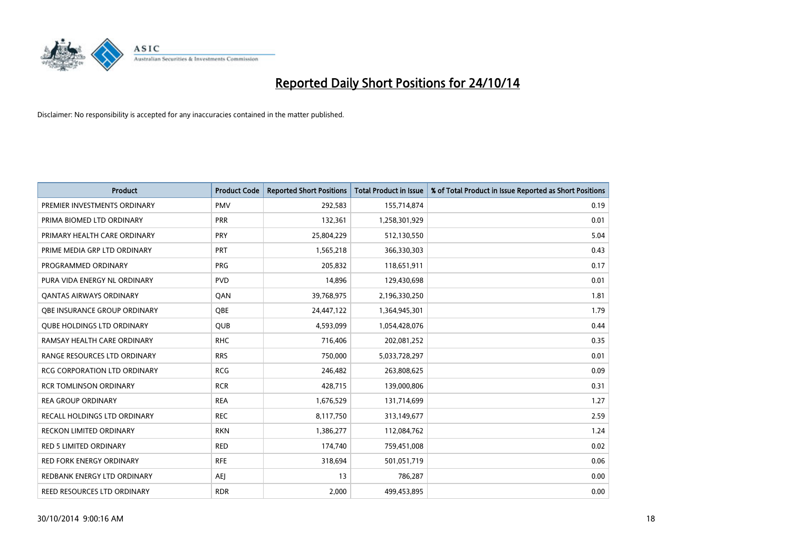

| <b>Product</b>                      | <b>Product Code</b> | <b>Reported Short Positions</b> | <b>Total Product in Issue</b> | % of Total Product in Issue Reported as Short Positions |
|-------------------------------------|---------------------|---------------------------------|-------------------------------|---------------------------------------------------------|
| PREMIER INVESTMENTS ORDINARY        | <b>PMV</b>          | 292,583                         | 155,714,874                   | 0.19                                                    |
| PRIMA BIOMED LTD ORDINARY           | <b>PRR</b>          | 132,361                         | 1,258,301,929                 | 0.01                                                    |
| PRIMARY HEALTH CARE ORDINARY        | <b>PRY</b>          | 25,804,229                      | 512,130,550                   | 5.04                                                    |
| PRIME MEDIA GRP LTD ORDINARY        | <b>PRT</b>          | 1,565,218                       | 366,330,303                   | 0.43                                                    |
| PROGRAMMED ORDINARY                 | <b>PRG</b>          | 205,832                         | 118,651,911                   | 0.17                                                    |
| PURA VIDA ENERGY NL ORDINARY        | <b>PVD</b>          | 14,896                          | 129,430,698                   | 0.01                                                    |
| <b>QANTAS AIRWAYS ORDINARY</b>      | QAN                 | 39,768,975                      | 2,196,330,250                 | 1.81                                                    |
| OBE INSURANCE GROUP ORDINARY        | QBE                 | 24,447,122                      | 1,364,945,301                 | 1.79                                                    |
| <b>QUBE HOLDINGS LTD ORDINARY</b>   | QUB                 | 4,593,099                       | 1,054,428,076                 | 0.44                                                    |
| RAMSAY HEALTH CARE ORDINARY         | <b>RHC</b>          | 716,406                         | 202,081,252                   | 0.35                                                    |
| RANGE RESOURCES LTD ORDINARY        | <b>RRS</b>          | 750,000                         | 5,033,728,297                 | 0.01                                                    |
| <b>RCG CORPORATION LTD ORDINARY</b> | <b>RCG</b>          | 246,482                         | 263,808,625                   | 0.09                                                    |
| <b>RCR TOMLINSON ORDINARY</b>       | <b>RCR</b>          | 428,715                         | 139,000,806                   | 0.31                                                    |
| <b>REA GROUP ORDINARY</b>           | <b>REA</b>          | 1,676,529                       | 131,714,699                   | 1.27                                                    |
| RECALL HOLDINGS LTD ORDINARY        | <b>REC</b>          | 8,117,750                       | 313,149,677                   | 2.59                                                    |
| <b>RECKON LIMITED ORDINARY</b>      | <b>RKN</b>          | 1,386,277                       | 112,084,762                   | 1.24                                                    |
| <b>RED 5 LIMITED ORDINARY</b>       | <b>RED</b>          | 174,740                         | 759,451,008                   | 0.02                                                    |
| RED FORK ENERGY ORDINARY            | <b>RFE</b>          | 318,694                         | 501,051,719                   | 0.06                                                    |
| REDBANK ENERGY LTD ORDINARY         | <b>AEJ</b>          | 13                              | 786,287                       | 0.00                                                    |
| REED RESOURCES LTD ORDINARY         | <b>RDR</b>          | 2,000                           | 499,453,895                   | 0.00                                                    |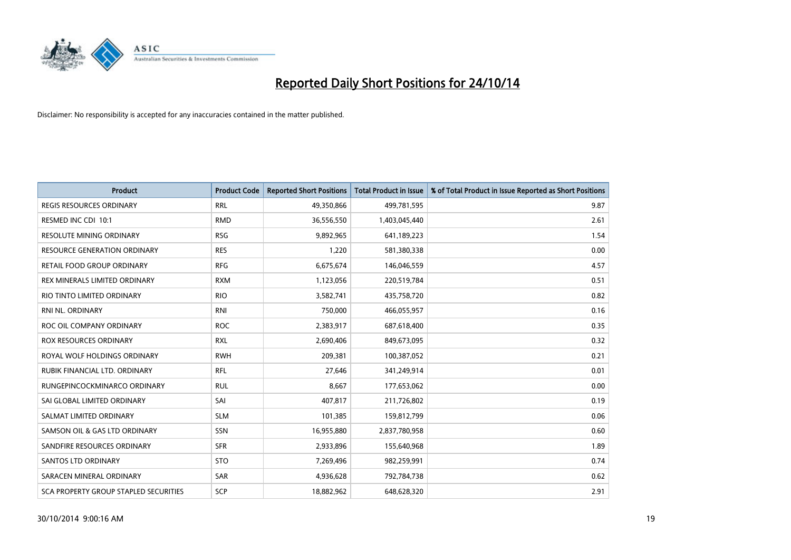

| <b>Product</b>                               | <b>Product Code</b> | <b>Reported Short Positions</b> | <b>Total Product in Issue</b> | % of Total Product in Issue Reported as Short Positions |
|----------------------------------------------|---------------------|---------------------------------|-------------------------------|---------------------------------------------------------|
| <b>REGIS RESOURCES ORDINARY</b>              | <b>RRL</b>          | 49,350,866                      | 499,781,595                   | 9.87                                                    |
| RESMED INC CDI 10:1                          | <b>RMD</b>          | 36,556,550                      | 1,403,045,440                 | 2.61                                                    |
| <b>RESOLUTE MINING ORDINARY</b>              | <b>RSG</b>          | 9,892,965                       | 641,189,223                   | 1.54                                                    |
| RESOURCE GENERATION ORDINARY                 | <b>RES</b>          | 1,220                           | 581,380,338                   | 0.00                                                    |
| RETAIL FOOD GROUP ORDINARY                   | <b>RFG</b>          | 6,675,674                       | 146,046,559                   | 4.57                                                    |
| REX MINERALS LIMITED ORDINARY                | <b>RXM</b>          | 1,123,056                       | 220,519,784                   | 0.51                                                    |
| RIO TINTO LIMITED ORDINARY                   | <b>RIO</b>          | 3,582,741                       | 435,758,720                   | 0.82                                                    |
| RNI NL. ORDINARY                             | <b>RNI</b>          | 750,000                         | 466,055,957                   | 0.16                                                    |
| ROC OIL COMPANY ORDINARY                     | <b>ROC</b>          | 2,383,917                       | 687,618,400                   | 0.35                                                    |
| <b>ROX RESOURCES ORDINARY</b>                | <b>RXL</b>          | 2,690,406                       | 849,673,095                   | 0.32                                                    |
| ROYAL WOLF HOLDINGS ORDINARY                 | <b>RWH</b>          | 209,381                         | 100,387,052                   | 0.21                                                    |
| RUBIK FINANCIAL LTD, ORDINARY                | <b>RFL</b>          | 27,646                          | 341,249,914                   | 0.01                                                    |
| RUNGEPINCOCKMINARCO ORDINARY                 | <b>RUL</b>          | 8,667                           | 177,653,062                   | 0.00                                                    |
| SAI GLOBAL LIMITED ORDINARY                  | SAI                 | 407,817                         | 211,726,802                   | 0.19                                                    |
| SALMAT LIMITED ORDINARY                      | <b>SLM</b>          | 101,385                         | 159,812,799                   | 0.06                                                    |
| SAMSON OIL & GAS LTD ORDINARY                | SSN                 | 16,955,880                      | 2,837,780,958                 | 0.60                                                    |
| SANDFIRE RESOURCES ORDINARY                  | <b>SFR</b>          | 2,933,896                       | 155,640,968                   | 1.89                                                    |
| SANTOS LTD ORDINARY                          | <b>STO</b>          | 7,269,496                       | 982,259,991                   | 0.74                                                    |
| SARACEN MINERAL ORDINARY                     | <b>SAR</b>          | 4,936,628                       | 792,784,738                   | 0.62                                                    |
| <b>SCA PROPERTY GROUP STAPLED SECURITIES</b> | SCP                 | 18,882,962                      | 648,628,320                   | 2.91                                                    |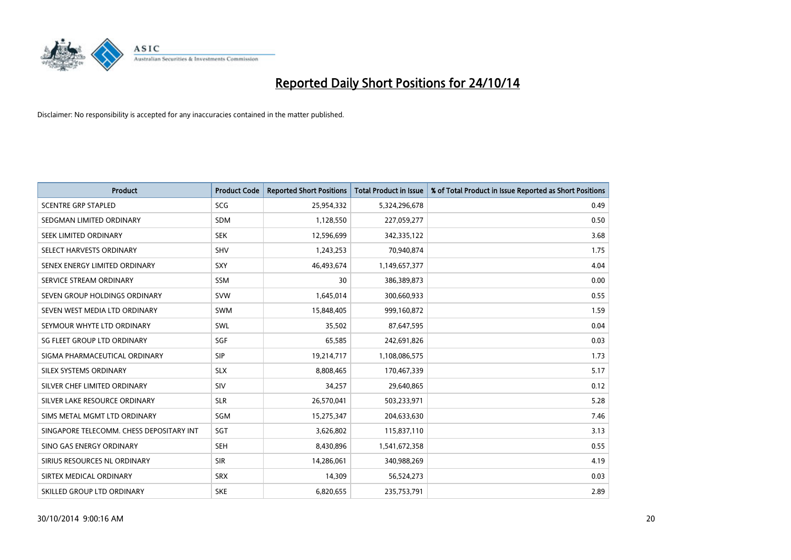

| <b>Product</b>                           | <b>Product Code</b> | <b>Reported Short Positions</b> | <b>Total Product in Issue</b> | % of Total Product in Issue Reported as Short Positions |
|------------------------------------------|---------------------|---------------------------------|-------------------------------|---------------------------------------------------------|
| <b>SCENTRE GRP STAPLED</b>               | <b>SCG</b>          | 25,954,332                      | 5,324,296,678                 | 0.49                                                    |
| SEDGMAN LIMITED ORDINARY                 | <b>SDM</b>          | 1,128,550                       | 227,059,277                   | 0.50                                                    |
| SEEK LIMITED ORDINARY                    | <b>SEK</b>          | 12,596,699                      | 342,335,122                   | 3.68                                                    |
| SELECT HARVESTS ORDINARY                 | <b>SHV</b>          | 1,243,253                       | 70,940,874                    | 1.75                                                    |
| SENEX ENERGY LIMITED ORDINARY            | SXY                 | 46,493,674                      | 1,149,657,377                 | 4.04                                                    |
| SERVICE STREAM ORDINARY                  | SSM                 | 30                              | 386,389,873                   | 0.00                                                    |
| SEVEN GROUP HOLDINGS ORDINARY            | <b>SVW</b>          | 1,645,014                       | 300,660,933                   | 0.55                                                    |
| SEVEN WEST MEDIA LTD ORDINARY            | SWM                 | 15,848,405                      | 999,160,872                   | 1.59                                                    |
| SEYMOUR WHYTE LTD ORDINARY               | <b>SWL</b>          | 35,502                          | 87,647,595                    | 0.04                                                    |
| SG FLEET GROUP LTD ORDINARY              | SGF                 | 65,585                          | 242,691,826                   | 0.03                                                    |
| SIGMA PHARMACEUTICAL ORDINARY            | <b>SIP</b>          | 19,214,717                      | 1,108,086,575                 | 1.73                                                    |
| SILEX SYSTEMS ORDINARY                   | <b>SLX</b>          | 8,808,465                       | 170,467,339                   | 5.17                                                    |
| SILVER CHEF LIMITED ORDINARY             | SIV                 | 34,257                          | 29,640,865                    | 0.12                                                    |
| SILVER LAKE RESOURCE ORDINARY            | <b>SLR</b>          | 26,570,041                      | 503,233,971                   | 5.28                                                    |
| SIMS METAL MGMT LTD ORDINARY             | SGM                 | 15,275,347                      | 204,633,630                   | 7.46                                                    |
| SINGAPORE TELECOMM. CHESS DEPOSITARY INT | SGT                 | 3,626,802                       | 115,837,110                   | 3.13                                                    |
| SINO GAS ENERGY ORDINARY                 | SEH                 | 8,430,896                       | 1,541,672,358                 | 0.55                                                    |
| SIRIUS RESOURCES NL ORDINARY             | <b>SIR</b>          | 14,286,061                      | 340,988,269                   | 4.19                                                    |
| SIRTEX MEDICAL ORDINARY                  | <b>SRX</b>          | 14,309                          | 56,524,273                    | 0.03                                                    |
| SKILLED GROUP LTD ORDINARY               | <b>SKE</b>          | 6,820,655                       | 235,753,791                   | 2.89                                                    |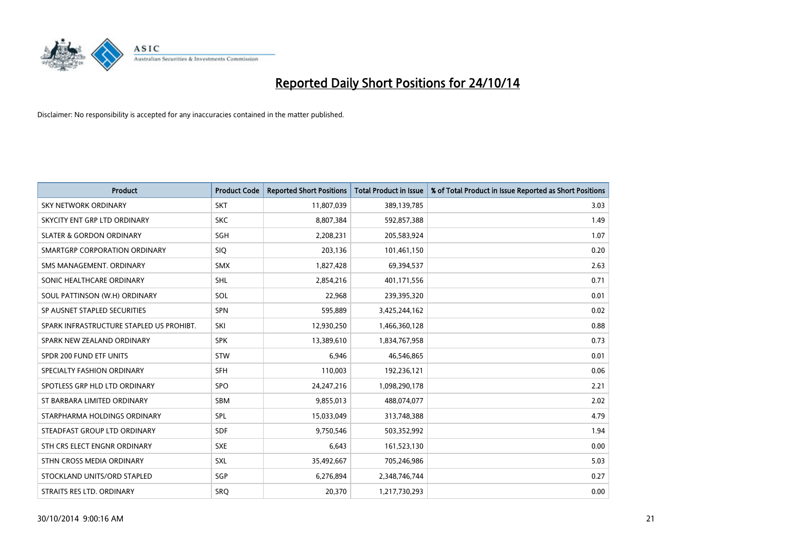

| <b>Product</b>                           | <b>Product Code</b> | <b>Reported Short Positions</b> | <b>Total Product in Issue</b> | % of Total Product in Issue Reported as Short Positions |
|------------------------------------------|---------------------|---------------------------------|-------------------------------|---------------------------------------------------------|
| SKY NETWORK ORDINARY                     | <b>SKT</b>          | 11,807,039                      | 389,139,785                   | 3.03                                                    |
| SKYCITY ENT GRP LTD ORDINARY             | <b>SKC</b>          | 8,807,384                       | 592,857,388                   | 1.49                                                    |
| <b>SLATER &amp; GORDON ORDINARY</b>      | SGH                 | 2,208,231                       | 205,583,924                   | 1.07                                                    |
| SMARTGRP CORPORATION ORDINARY            | <b>SIQ</b>          | 203,136                         | 101,461,150                   | 0.20                                                    |
| SMS MANAGEMENT, ORDINARY                 | <b>SMX</b>          | 1,827,428                       | 69,394,537                    | 2.63                                                    |
| SONIC HEALTHCARE ORDINARY                | SHL                 | 2,854,216                       | 401,171,556                   | 0.71                                                    |
| SOUL PATTINSON (W.H) ORDINARY            | SOL                 | 22,968                          | 239,395,320                   | 0.01                                                    |
| SP AUSNET STAPLED SECURITIES             | SPN                 | 595,889                         | 3,425,244,162                 | 0.02                                                    |
| SPARK INFRASTRUCTURE STAPLED US PROHIBT. | SKI                 | 12,930,250                      | 1,466,360,128                 | 0.88                                                    |
| SPARK NEW ZEALAND ORDINARY               | <b>SPK</b>          | 13,389,610                      | 1,834,767,958                 | 0.73                                                    |
| SPDR 200 FUND ETF UNITS                  | <b>STW</b>          | 6,946                           | 46,546,865                    | 0.01                                                    |
| SPECIALTY FASHION ORDINARY               | <b>SFH</b>          | 110,003                         | 192,236,121                   | 0.06                                                    |
| SPOTLESS GRP HLD LTD ORDINARY            | <b>SPO</b>          | 24, 247, 216                    | 1,098,290,178                 | 2.21                                                    |
| ST BARBARA LIMITED ORDINARY              | <b>SBM</b>          | 9,855,013                       | 488,074,077                   | 2.02                                                    |
| STARPHARMA HOLDINGS ORDINARY             | <b>SPL</b>          | 15,033,049                      | 313,748,388                   | 4.79                                                    |
| STEADFAST GROUP LTD ORDINARY             | SDF                 | 9,750,546                       | 503,352,992                   | 1.94                                                    |
| STH CRS ELECT ENGNR ORDINARY             | <b>SXE</b>          | 6,643                           | 161,523,130                   | 0.00                                                    |
| STHN CROSS MEDIA ORDINARY                | <b>SXL</b>          | 35,492,667                      | 705,246,986                   | 5.03                                                    |
| STOCKLAND UNITS/ORD STAPLED              | SGP                 | 6,276,894                       | 2,348,746,744                 | 0.27                                                    |
| STRAITS RES LTD. ORDINARY                | <b>SRQ</b>          | 20,370                          | 1,217,730,293                 | 0.00                                                    |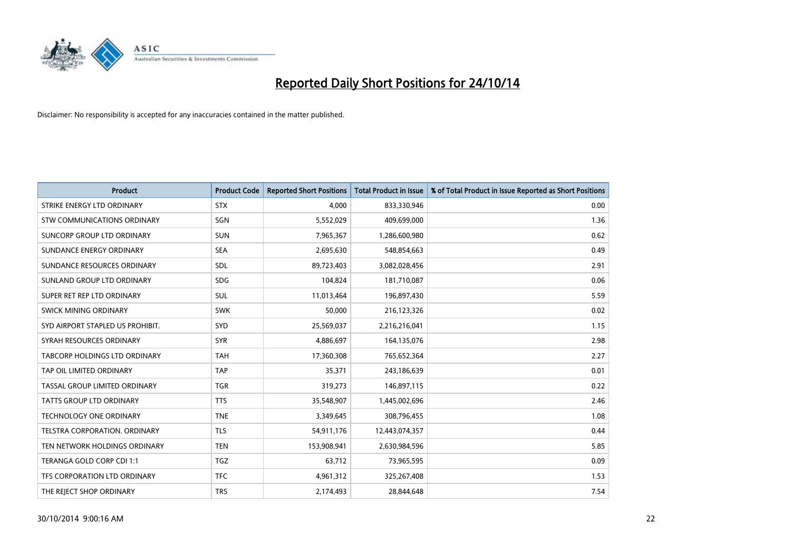

| <b>Product</b>                       | <b>Product Code</b> | <b>Reported Short Positions</b> | <b>Total Product in Issue</b> | % of Total Product in Issue Reported as Short Positions |
|--------------------------------------|---------------------|---------------------------------|-------------------------------|---------------------------------------------------------|
| STRIKE ENERGY LTD ORDINARY           | <b>STX</b>          | 4,000                           | 833,330,946                   | 0.00                                                    |
| STW COMMUNICATIONS ORDINARY          | SGN                 | 5,552,029                       | 409,699,000                   | 1.36                                                    |
| SUNCORP GROUP LTD ORDINARY           | <b>SUN</b>          | 7,965,367                       | 1,286,600,980                 | 0.62                                                    |
| SUNDANCE ENERGY ORDINARY             | <b>SEA</b>          | 2,695,630                       | 548,854,663                   | 0.49                                                    |
| SUNDANCE RESOURCES ORDINARY          | SDL                 | 89,723,403                      | 3,082,028,456                 | 2.91                                                    |
| SUNLAND GROUP LTD ORDINARY           | <b>SDG</b>          | 104,824                         | 181,710,087                   | 0.06                                                    |
| SUPER RET REP LTD ORDINARY           | SUL                 | 11,013,464                      | 196,897,430                   | 5.59                                                    |
| SWICK MINING ORDINARY                | <b>SWK</b>          | 50,000                          | 216,123,326                   | 0.02                                                    |
| SYD AIRPORT STAPLED US PROHIBIT.     | <b>SYD</b>          | 25,569,037                      | 2,216,216,041                 | 1.15                                                    |
| SYRAH RESOURCES ORDINARY             | <b>SYR</b>          | 4,886,697                       | 164,135,076                   | 2.98                                                    |
| <b>TABCORP HOLDINGS LTD ORDINARY</b> | <b>TAH</b>          | 17,360,308                      | 765,652,364                   | 2.27                                                    |
| TAP OIL LIMITED ORDINARY             | <b>TAP</b>          | 35,371                          | 243,186,639                   | 0.01                                                    |
| TASSAL GROUP LIMITED ORDINARY        | <b>TGR</b>          | 319,273                         | 146,897,115                   | 0.22                                                    |
| <b>TATTS GROUP LTD ORDINARY</b>      | <b>TTS</b>          | 35,548,907                      | 1,445,002,696                 | 2.46                                                    |
| TECHNOLOGY ONE ORDINARY              | <b>TNE</b>          | 3,349,645                       | 308,796,455                   | 1.08                                                    |
| TELSTRA CORPORATION. ORDINARY        | <b>TLS</b>          | 54,911,176                      | 12,443,074,357                | 0.44                                                    |
| TEN NETWORK HOLDINGS ORDINARY        | <b>TEN</b>          | 153,908,941                     | 2,630,984,596                 | 5.85                                                    |
| TERANGA GOLD CORP CDI 1:1            | <b>TGZ</b>          | 63,712                          | 73,965,595                    | 0.09                                                    |
| TFS CORPORATION LTD ORDINARY         | <b>TFC</b>          | 4,961,312                       | 325,267,408                   | 1.53                                                    |
| THE REJECT SHOP ORDINARY             | <b>TRS</b>          | 2,174,493                       | 28,844,648                    | 7.54                                                    |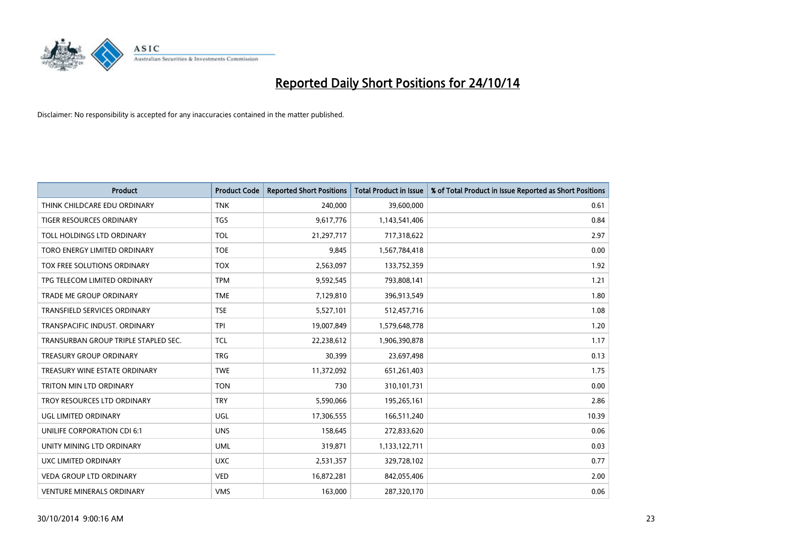

| <b>Product</b>                       | <b>Product Code</b> | <b>Reported Short Positions</b> | <b>Total Product in Issue</b> | % of Total Product in Issue Reported as Short Positions |
|--------------------------------------|---------------------|---------------------------------|-------------------------------|---------------------------------------------------------|
| THINK CHILDCARE EDU ORDINARY         | <b>TNK</b>          | 240,000                         | 39,600,000                    | 0.61                                                    |
| TIGER RESOURCES ORDINARY             | <b>TGS</b>          | 9,617,776                       | 1,143,541,406                 | 0.84                                                    |
| TOLL HOLDINGS LTD ORDINARY           | <b>TOL</b>          | 21,297,717                      | 717,318,622                   | 2.97                                                    |
| TORO ENERGY LIMITED ORDINARY         | <b>TOE</b>          | 9,845                           | 1,567,784,418                 | 0.00                                                    |
| TOX FREE SOLUTIONS ORDINARY          | <b>TOX</b>          | 2,563,097                       | 133,752,359                   | 1.92                                                    |
| TPG TELECOM LIMITED ORDINARY         | <b>TPM</b>          | 9,592,545                       | 793,808,141                   | 1.21                                                    |
| TRADE ME GROUP ORDINARY              | <b>TME</b>          | 7,129,810                       | 396,913,549                   | 1.80                                                    |
| TRANSFIELD SERVICES ORDINARY         | <b>TSE</b>          | 5,527,101                       | 512,457,716                   | 1.08                                                    |
| TRANSPACIFIC INDUST, ORDINARY        | <b>TPI</b>          | 19,007,849                      | 1,579,648,778                 | 1.20                                                    |
| TRANSURBAN GROUP TRIPLE STAPLED SEC. | <b>TCL</b>          | 22,238,612                      | 1,906,390,878                 | 1.17                                                    |
| TREASURY GROUP ORDINARY              | <b>TRG</b>          | 30,399                          | 23,697,498                    | 0.13                                                    |
| TREASURY WINE ESTATE ORDINARY        | <b>TWE</b>          | 11,372,092                      | 651,261,403                   | 1.75                                                    |
| TRITON MIN LTD ORDINARY              | <b>TON</b>          | 730                             | 310,101,731                   | 0.00                                                    |
| TROY RESOURCES LTD ORDINARY          | <b>TRY</b>          | 5,590,066                       | 195,265,161                   | 2.86                                                    |
| UGL LIMITED ORDINARY                 | UGL                 | 17,306,555                      | 166,511,240                   | 10.39                                                   |
| UNILIFE CORPORATION CDI 6:1          | <b>UNS</b>          | 158,645                         | 272,833,620                   | 0.06                                                    |
| UNITY MINING LTD ORDINARY            | <b>UML</b>          | 319,871                         | 1,133,122,711                 | 0.03                                                    |
| UXC LIMITED ORDINARY                 | <b>UXC</b>          | 2,531,357                       | 329,728,102                   | 0.77                                                    |
| <b>VEDA GROUP LTD ORDINARY</b>       | <b>VED</b>          | 16,872,281                      | 842,055,406                   | 2.00                                                    |
| <b>VENTURE MINERALS ORDINARY</b>     | <b>VMS</b>          | 163,000                         | 287,320,170                   | 0.06                                                    |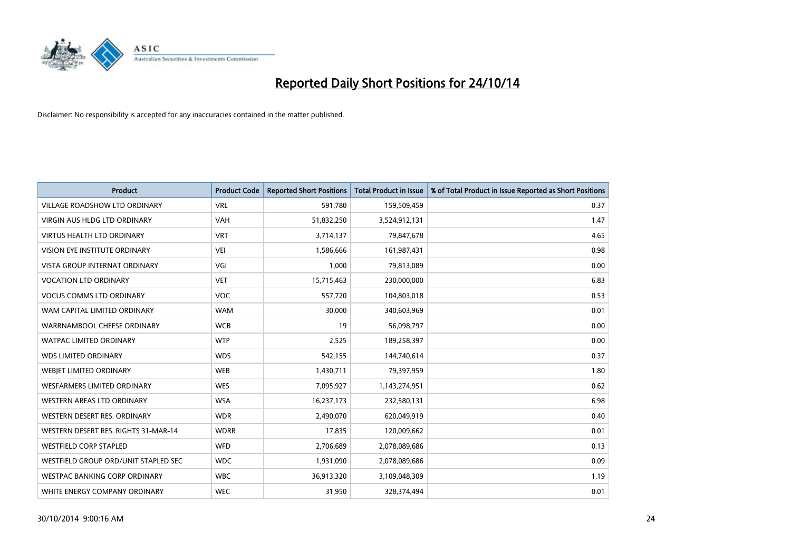

| <b>Product</b>                       | <b>Product Code</b> | <b>Reported Short Positions</b> | <b>Total Product in Issue</b> | % of Total Product in Issue Reported as Short Positions |
|--------------------------------------|---------------------|---------------------------------|-------------------------------|---------------------------------------------------------|
| <b>VILLAGE ROADSHOW LTD ORDINARY</b> | <b>VRL</b>          | 591,780                         | 159,509,459                   | 0.37                                                    |
| <b>VIRGIN AUS HLDG LTD ORDINARY</b>  | <b>VAH</b>          | 51,832,250                      | 3,524,912,131                 | 1.47                                                    |
| <b>VIRTUS HEALTH LTD ORDINARY</b>    | <b>VRT</b>          | 3,714,137                       | 79,847,678                    | 4.65                                                    |
| VISION EYE INSTITUTE ORDINARY        | <b>VEI</b>          | 1,586,666                       | 161,987,431                   | 0.98                                                    |
| <b>VISTA GROUP INTERNAT ORDINARY</b> | VGI                 | 1,000                           | 79,813,089                    | 0.00                                                    |
| <b>VOCATION LTD ORDINARY</b>         | <b>VET</b>          | 15,715,463                      | 230,000,000                   | 6.83                                                    |
| <b>VOCUS COMMS LTD ORDINARY</b>      | VOC                 | 557,720                         | 104,803,018                   | 0.53                                                    |
| WAM CAPITAL LIMITED ORDINARY         | <b>WAM</b>          | 30,000                          | 340,603,969                   | 0.01                                                    |
| WARRNAMBOOL CHEESE ORDINARY          | <b>WCB</b>          | 19                              | 56,098,797                    | 0.00                                                    |
| <b>WATPAC LIMITED ORDINARY</b>       | <b>WTP</b>          | 2,525                           | 189,258,397                   | 0.00                                                    |
| <b>WDS LIMITED ORDINARY</b>          | <b>WDS</b>          | 542,155                         | 144,740,614                   | 0.37                                                    |
| WEBIET LIMITED ORDINARY              | <b>WEB</b>          | 1,430,711                       | 79,397,959                    | 1.80                                                    |
| <b>WESFARMERS LIMITED ORDINARY</b>   | <b>WES</b>          | 7,095,927                       | 1,143,274,951                 | 0.62                                                    |
| <b>WESTERN AREAS LTD ORDINARY</b>    | <b>WSA</b>          | 16,237,173                      | 232,580,131                   | 6.98                                                    |
| WESTERN DESERT RES. ORDINARY         | <b>WDR</b>          | 2,490,070                       | 620,049,919                   | 0.40                                                    |
| WESTERN DESERT RES. RIGHTS 31-MAR-14 | <b>WDRR</b>         | 17,835                          | 120,009,662                   | 0.01                                                    |
| <b>WESTFIELD CORP STAPLED</b>        | <b>WFD</b>          | 2,706,689                       | 2,078,089,686                 | 0.13                                                    |
| WESTFIELD GROUP ORD/UNIT STAPLED SEC | <b>WDC</b>          | 1,931,090                       | 2,078,089,686                 | 0.09                                                    |
| WESTPAC BANKING CORP ORDINARY        | <b>WBC</b>          | 36,913,320                      | 3,109,048,309                 | 1.19                                                    |
| WHITE ENERGY COMPANY ORDINARY        | <b>WEC</b>          | 31,950                          | 328,374,494                   | 0.01                                                    |